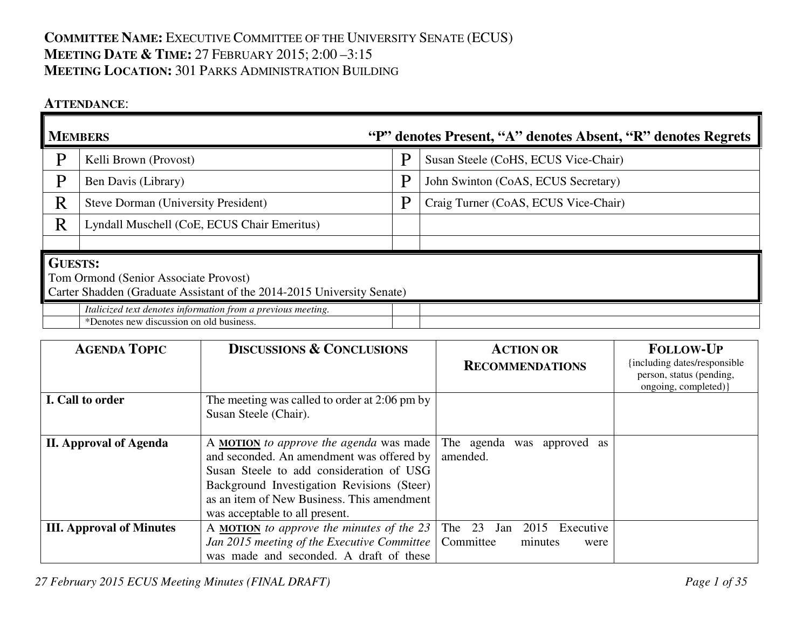## **COMMITTEE NAME:** <sup>E</sup>XECUTIVE COMMITTEE OF THE UNIVERSITY SENATE (ECUS) **MEETING DATE & <sup>T</sup>IME:** <sup>27</sup> <sup>F</sup>EBRUARY 2015; 2:00 –3:15 **MEETING LOCATION:** <sup>301</sup> <sup>P</sup>ARKS ADMINISTRATION BUILDING

## **ATTENDANCE**:

| <b>MEMBERS</b> |                                                                                                          |   | "P" denotes Present, "A" denotes Absent, "R" denotes Regrets |  |  |  |
|----------------|----------------------------------------------------------------------------------------------------------|---|--------------------------------------------------------------|--|--|--|
| Þ              | Kelli Brown (Provost)                                                                                    | D | Susan Steele (CoHS, ECUS Vice-Chair)                         |  |  |  |
| P              | Ben Davis (Library)                                                                                      | D | John Swinton (CoAS, ECUS Secretary)                          |  |  |  |
| R              | <b>Steve Dorman (University President)</b>                                                               | D | Craig Turner (CoAS, ECUS Vice-Chair)                         |  |  |  |
| R              | Lyndall Muschell (CoE, ECUS Chair Emeritus)                                                              |   |                                                              |  |  |  |
|                |                                                                                                          |   |                                                              |  |  |  |
|                | <b>GUESTS:</b>                                                                                           |   |                                                              |  |  |  |
|                | Tom Ormond (Senior Associate Provost)                                                                    |   |                                                              |  |  |  |
|                | Carter Shadden (Graduate Assistant of the 2014-2015 University Senate)                                   |   |                                                              |  |  |  |
|                | Italicized text denotes information from a previous meeting.<br>*Denotes new discussion on old business. |   |                                                              |  |  |  |

| <b>AGENDA TOPIC</b>             | <b>DISCUSSIONS &amp; CONCLUSIONS</b>                                                                                                                                                                                                                                      | <b>ACTION OR</b>               | <b>FOLLOW-UP</b>                                                                   |
|---------------------------------|---------------------------------------------------------------------------------------------------------------------------------------------------------------------------------------------------------------------------------------------------------------------------|--------------------------------|------------------------------------------------------------------------------------|
|                                 |                                                                                                                                                                                                                                                                           | <b>RECOMMENDATIONS</b>         | {including dates/responsible}<br>person, status (pending,<br>ongoing, completed) } |
| I. Call to order                | The meeting was called to order at 2:06 pm by<br>Susan Steele (Chair).                                                                                                                                                                                                    |                                |                                                                                    |
| <b>II. Approval of Agenda</b>   | A MOTION to approve the agenda was made The agenda<br>and seconded. An amendment was offered by<br>Susan Steele to add consideration of USG<br>Background Investigation Revisions (Steer)<br>as an item of New Business. This amendment<br>was acceptable to all present. | approved as<br>was<br>amended. |                                                                                    |
| <b>III.</b> Approval of Minutes | A MOTION to approve the minutes of the $23$ The $23$ Jan $2015$ Executive<br>Jan 2015 meeting of the Executive Committee   Committee<br>was made and seconded. A draft of these                                                                                           | minutes<br>were                |                                                                                    |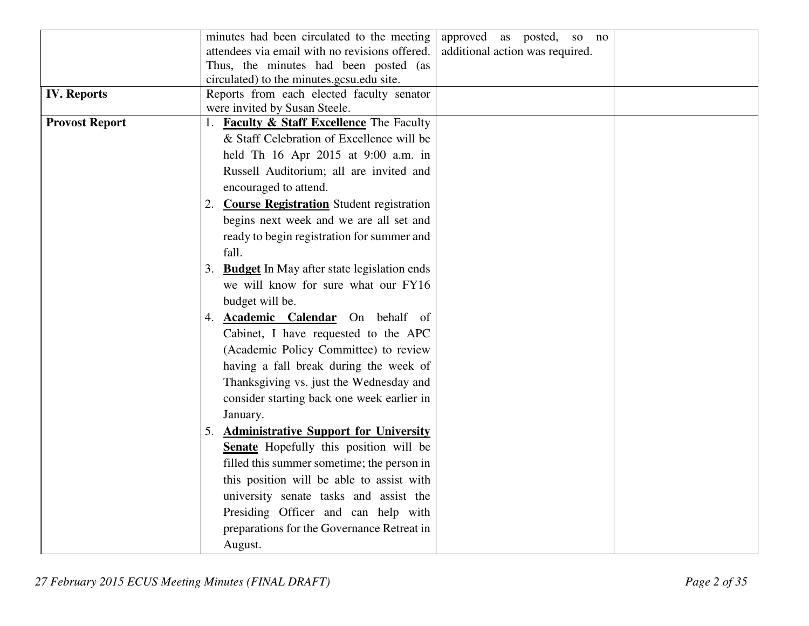|                       | minutes had been circulated to the meeting<br>approved as posted,<br>so no        |
|-----------------------|-----------------------------------------------------------------------------------|
|                       | attendees via email with no revisions offered.<br>additional action was required. |
|                       | Thus, the minutes had been posted (as                                             |
|                       | circulated) to the minutes.gcsu.edu site.                                         |
| <b>IV.</b> Reports    | Reports from each elected faculty senator                                         |
|                       | were invited by Susan Steele.                                                     |
| <b>Provost Report</b> | 1. <b>Faculty &amp; Staff Excellence</b> The Faculty                              |
|                       | & Staff Celebration of Excellence will be                                         |
|                       | held Th 16 Apr 2015 at 9:00 a.m. in                                               |
|                       | Russell Auditorium; all are invited and                                           |
|                       | encouraged to attend.                                                             |
|                       | 2. Course Registration Student registration                                       |
|                       | begins next week and we are all set and                                           |
|                       | ready to begin registration for summer and                                        |
|                       | fall.                                                                             |
|                       | 3. Budget In May after state legislation ends                                     |
|                       | we will know for sure what our FY16                                               |
|                       | budget will be.                                                                   |
|                       | 4. Academic Calendar On behalf of                                                 |
|                       | Cabinet, I have requested to the APC                                              |
|                       | (Academic Policy Committee) to review                                             |
|                       | having a fall break during the week of                                            |
|                       | Thanksgiving vs. just the Wednesday and                                           |
|                       | consider starting back one week earlier in                                        |
|                       | January.                                                                          |
|                       | 5. Administrative Support for University                                          |
|                       | Senate Hopefully this position will be                                            |
|                       | filled this summer sometime; the person in                                        |
|                       | this position will be able to assist with                                         |
|                       | university senate tasks and assist the                                            |
|                       | Presiding Officer and can help with                                               |
|                       | preparations for the Governance Retreat in                                        |
|                       |                                                                                   |
|                       | August.                                                                           |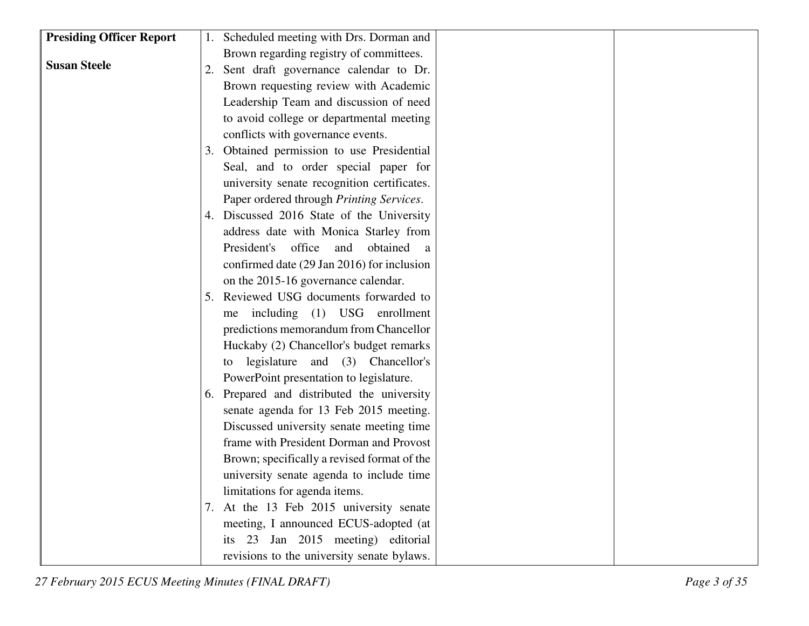| <b>Presiding Officer Report</b> | 1. Scheduled meeting with Drs. Dorman and                                                                                                                            |  |
|---------------------------------|----------------------------------------------------------------------------------------------------------------------------------------------------------------------|--|
|                                 | Brown regarding registry of committees.                                                                                                                              |  |
| <b>Susan Steele</b>             | 2. Sent draft governance calendar to Dr.                                                                                                                             |  |
|                                 | Brown requesting review with Academic                                                                                                                                |  |
|                                 | Leadership Team and discussion of need                                                                                                                               |  |
|                                 | to avoid college or departmental meeting                                                                                                                             |  |
|                                 | conflicts with governance events.                                                                                                                                    |  |
|                                 | 3. Obtained permission to use Presidential                                                                                                                           |  |
|                                 | Seal, and to order special paper for                                                                                                                                 |  |
|                                 | university senate recognition certificates.                                                                                                                          |  |
|                                 | Paper ordered through Printing Services.                                                                                                                             |  |
|                                 | 4. Discussed 2016 State of the University                                                                                                                            |  |
|                                 | address date with Monica Starley from                                                                                                                                |  |
|                                 | President's<br>office<br>obtained<br>and<br><sub>a</sub>                                                                                                             |  |
|                                 | confirmed date (29 Jan 2016) for inclusion                                                                                                                           |  |
|                                 | on the 2015-16 governance calendar.                                                                                                                                  |  |
|                                 | 5. Reviewed USG documents forwarded to                                                                                                                               |  |
|                                 | including (1) USG enrollment<br>me                                                                                                                                   |  |
|                                 | predictions memorandum from Chancellor                                                                                                                               |  |
|                                 | Huckaby (2) Chancellor's budget remarks                                                                                                                              |  |
|                                 | legislature and (3) Chancellor's<br>to                                                                                                                               |  |
|                                 | PowerPoint presentation to legislature.                                                                                                                              |  |
|                                 | 6. Prepared and distributed the university                                                                                                                           |  |
|                                 | senate agenda for 13 Feb 2015 meeting.                                                                                                                               |  |
|                                 | Discussed university senate meeting time                                                                                                                             |  |
|                                 | frame with President Dorman and Provost                                                                                                                              |  |
|                                 | Brown; specifically a revised format of the                                                                                                                          |  |
|                                 | university senate agenda to include time                                                                                                                             |  |
|                                 | limitations for agenda items.                                                                                                                                        |  |
|                                 |                                                                                                                                                                      |  |
|                                 |                                                                                                                                                                      |  |
|                                 |                                                                                                                                                                      |  |
|                                 | 7. At the 13 Feb 2015 university senate<br>meeting, I announced ECUS-adopted (at<br>its 23 Jan 2015 meeting) editorial<br>revisions to the university senate bylaws. |  |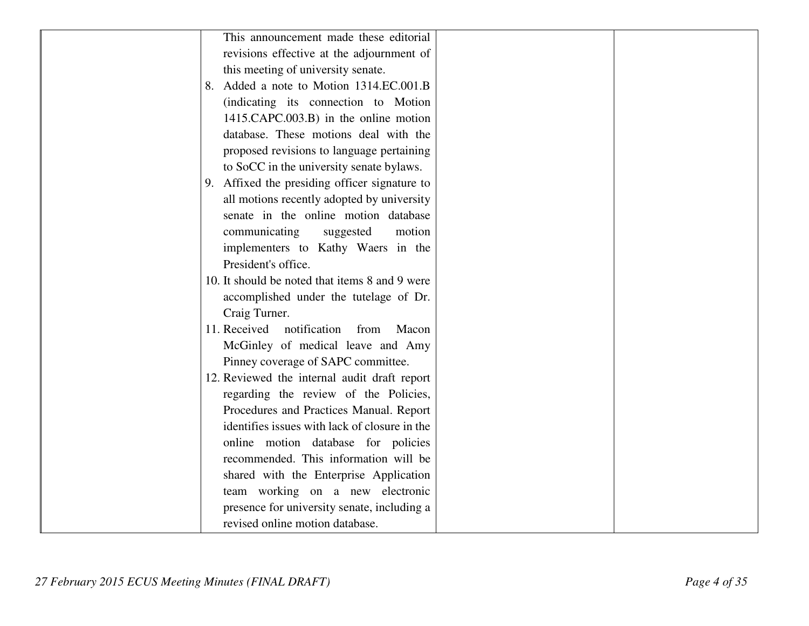| This announcement made these editorial         |
|------------------------------------------------|
| revisions effective at the adjournment of      |
| this meeting of university senate.             |
| 8. Added a note to Motion 1314.EC.001.B        |
| (indicating its connection to Motion           |
| 1415.CAPC.003.B) in the online motion          |
| database. These motions deal with the          |
| proposed revisions to language pertaining      |
| to SoCC in the university senate bylaws.       |
| 9. Affixed the presiding officer signature to  |
| all motions recently adopted by university     |
| senate in the online motion database           |
| communicating<br>suggested<br>motion           |
| implementers to Kathy Waers in the             |
| President's office.                            |
| 10. It should be noted that items 8 and 9 were |
| accomplished under the tutelage of Dr.         |
| Craig Turner.                                  |
| 11. Received<br>notification<br>from<br>Macon  |
| McGinley of medical leave and Amy              |
| Pinney coverage of SAPC committee.             |
| 12. Reviewed the internal audit draft report   |
| regarding the review of the Policies,          |
| Procedures and Practices Manual. Report        |
| identifies issues with lack of closure in the  |
| online motion database for policies            |
| recommended. This information will be          |
| shared with the Enterprise Application         |
| team working on a new electronic               |
| presence for university senate, including a    |
| revised online motion database.                |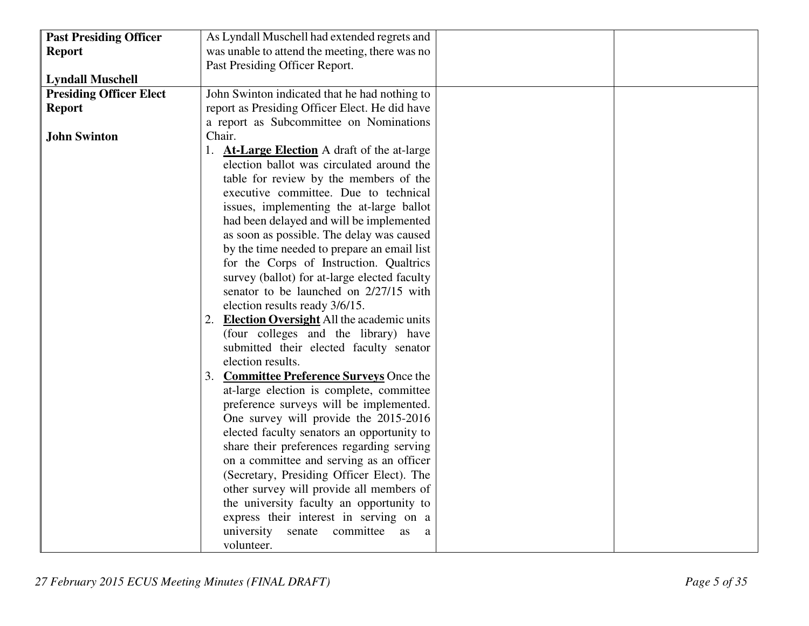| <b>Past Presiding Officer</b>  | As Lyndall Muschell had extended regrets and                                        |
|--------------------------------|-------------------------------------------------------------------------------------|
| <b>Report</b>                  | was unable to attend the meeting, there was no                                      |
|                                | Past Presiding Officer Report.                                                      |
| <b>Lyndall Muschell</b>        |                                                                                     |
| <b>Presiding Officer Elect</b> | John Swinton indicated that he had nothing to                                       |
| <b>Report</b>                  | report as Presiding Officer Elect. He did have                                      |
|                                | a report as Subcommittee on Nominations                                             |
| <b>John Swinton</b>            | Chair.                                                                              |
|                                | 1. <b>At-Large Election</b> A draft of the at-large                                 |
|                                | election ballot was circulated around the                                           |
|                                | table for review by the members of the                                              |
|                                | executive committee. Due to technical                                               |
|                                | issues, implementing the at-large ballot                                            |
|                                | had been delayed and will be implemented                                            |
|                                | as soon as possible. The delay was caused                                           |
|                                | by the time needed to prepare an email list                                         |
|                                | for the Corps of Instruction. Qualtrics                                             |
|                                | survey (ballot) for at-large elected faculty                                        |
|                                | senator to be launched on 2/27/15 with                                              |
|                                | election results ready 3/6/15.                                                      |
|                                | 2. Election Oversight All the academic units                                        |
|                                | (four colleges and the library) have                                                |
|                                | submitted their elected faculty senator                                             |
|                                | election results.                                                                   |
|                                | 3. <b>Committee Preference Surveys</b> Once the                                     |
|                                | at-large election is complete, committee                                            |
|                                | preference surveys will be implemented.                                             |
|                                | One survey will provide the 2015-2016<br>elected faculty senators an opportunity to |
|                                | share their preferences regarding serving                                           |
|                                | on a committee and serving as an officer                                            |
|                                | (Secretary, Presiding Officer Elect). The                                           |
|                                | other survey will provide all members of                                            |
|                                | the university faculty an opportunity to                                            |
|                                | express their interest in serving on a                                              |
|                                | university<br>senate<br>committee<br>as<br>a                                        |
|                                | volunteer.                                                                          |
|                                |                                                                                     |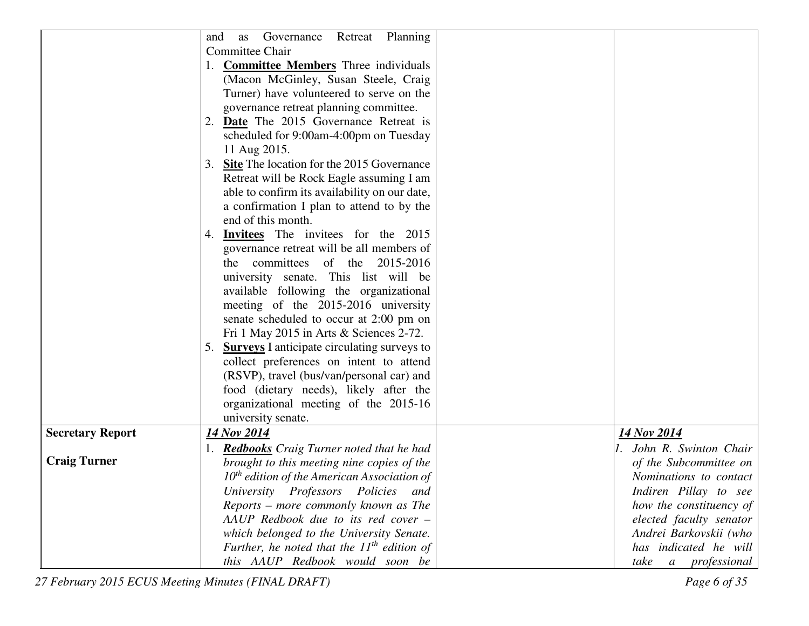|                         | Governance<br>Retreat Planning<br>and<br>as     |                               |
|-------------------------|-------------------------------------------------|-------------------------------|
|                         | Committee Chair                                 |                               |
|                         | <b>Committee Members</b> Three individuals      |                               |
|                         | (Macon McGinley, Susan Steele, Craig            |                               |
|                         | Turner) have volunteered to serve on the        |                               |
|                         | governance retreat planning committee.          |                               |
|                         | 2. Date The 2015 Governance Retreat is          |                               |
|                         | scheduled for 9:00am-4:00pm on Tuesday          |                               |
|                         | 11 Aug 2015.                                    |                               |
|                         | 3. Site The location for the 2015 Governance    |                               |
|                         | Retreat will be Rock Eagle assuming I am        |                               |
|                         | able to confirm its availability on our date,   |                               |
|                         | a confirmation I plan to attend to by the       |                               |
|                         | end of this month.                              |                               |
|                         | 4. <b>Invitees</b> The invitees for the 2015    |                               |
|                         | governance retreat will be all members of       |                               |
|                         | committees of the 2015-2016<br>the              |                               |
|                         | university senate. This list will be            |                               |
|                         | available following the organizational          |                               |
|                         | meeting of the 2015-2016 university             |                               |
|                         | senate scheduled to occur at 2:00 pm on         |                               |
|                         | Fri 1 May 2015 in Arts & Sciences 2-72.         |                               |
|                         | 5. Surveys I anticipate circulating surveys to  |                               |
|                         | collect preferences on intent to attend         |                               |
|                         | (RSVP), travel (bus/van/personal car) and       |                               |
|                         | food (dietary needs), likely after the          |                               |
|                         | organizational meeting of the 2015-16           |                               |
|                         | university senate.                              |                               |
| <b>Secretary Report</b> | 14 Nov 2014                                     | 14 Nov 2014                   |
|                         | 1. Redbooks Craig Turner noted that he had      | John R. Swinton Chair         |
| <b>Craig Turner</b>     | brought to this meeting nine copies of the      | of the Subcommittee on        |
|                         | $10th$ edition of the American Association of   | Nominations to contact        |
|                         | University Professors Policies<br>and           | Indiren Pillay to see         |
|                         | Reports – more commonly known as The            | how the constituency of       |
|                         | AAUP Redbook due to its red cover -             | elected faculty senator       |
|                         | which belonged to the University Senate.        | Andrei Barkovskii (who        |
|                         | Further, he noted that the $11^{th}$ edition of | has indicated he will         |
|                         | this AAUP Redbook would soon be                 | take<br><i>a professional</i> |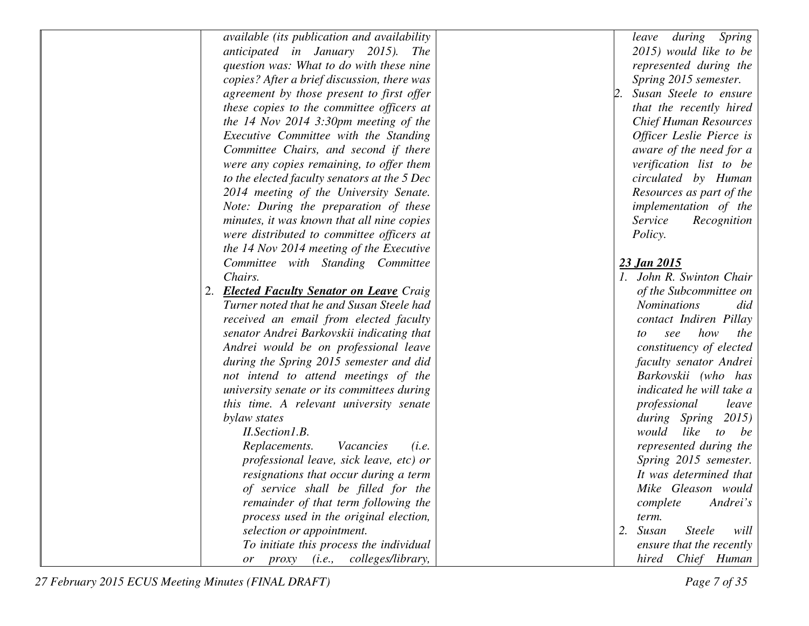| available (its publication and availability         | during<br>Spring<br>leave         |
|-----------------------------------------------------|-----------------------------------|
| anticipated in January 2015). The                   | 2015) would like to be            |
| question was: What to do with these nine            | represented during the            |
| copies? After a brief discussion, there was         | Spring 2015 semester.             |
| agreement by those present to first offer           | Susan Steele to ensure            |
| these copies to the committee officers at           | that the recently hired           |
| the 14 Nov 2014 3:30pm meeting of the               | <b>Chief Human Resources</b>      |
| Executive Committee with the Standing               | Officer Leslie Pierce is          |
| Committee Chairs, and second if there               | aware of the need for a           |
| were any copies remaining, to offer them            | verification list to be           |
| to the elected faculty senators at the 5 Dec        | circulated by Human               |
| 2014 meeting of the University Senate.              | Resources as part of the          |
| Note: During the preparation of these               | implementation of the             |
| minutes, it was known that all nine copies          | Service<br>Recognition            |
| were distributed to committee officers at           | <i>Policy.</i>                    |
| the 14 Nov 2014 meeting of the Executive            |                                   |
| Committee with Standing Committee                   | 23 Jan 2015                       |
| Chairs.                                             | 1. John R. Swinton Chair          |
| <b>Elected Faculty Senator on Leave Craig</b><br>2. | of the Subcommittee on            |
| Turner noted that he and Susan Steele had           | <b>Nominations</b><br>did         |
| received an email from elected faculty              | contact Indiren Pillay            |
| senator Andrei Barkovskii indicating that           | how<br>the<br>see<br>to           |
| Andrei would be on professional leave               | constituency of elected           |
| during the Spring 2015 semester and did             | faculty senator Andrei            |
| not intend to attend meetings of the                | Barkovskii (who has               |
| university senate or its committees during          | indicated he will take a          |
| this time. A relevant university senate             | professional<br>leave             |
| bylaw states                                        | during Spring<br>2015)            |
| II.Section1.B.                                      | would<br>like<br>to be            |
| Replacements.<br>Vacancies<br>(i.e.                 | represented during the            |
| professional leave, sick leave, etc) or             | Spring 2015 semester.             |
| resignations that occur during a term               | It was determined that            |
| of service shall be filled for the                  | Mike Gleason would                |
| remainder of that term following the                | Andrei's<br>complete              |
| process used in the original election,              | term.                             |
| selection or appointment.                           | 2. Susan<br><b>Steele</b><br>will |
| To initiate this process the individual             | ensure that the recently          |
| or proxy (i.e., colleges/library,                   | hired Chief Human                 |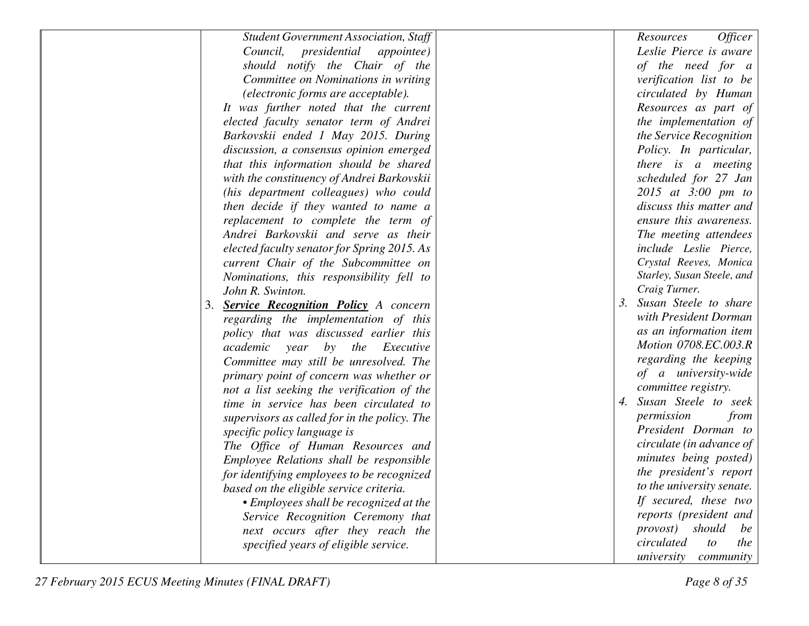| <b>Student Government Association, Staff</b>      | Officer<br>Resources             |
|---------------------------------------------------|----------------------------------|
| Council, presidential appointee)                  | Leslie Pierce is aware           |
| should notify the Chair of the                    | of the need for a                |
| Committee on Nominations in writing               | verification list to be          |
| (electronic forms are acceptable).                | circulated by Human              |
| It was further noted that the current             | Resources as part of             |
| elected faculty senator term of Andrei            | the implementation of            |
| Barkovskii ended 1 May 2015. During               | the Service Recognition          |
| discussion, a consensus opinion emerged           | Policy. In particular,           |
| that this information should be shared            | there is a meeting               |
| with the constituency of Andrei Barkovskii        | scheduled for 27 Jan             |
| (his department colleagues) who could             | 2015 at 3:00 pm to               |
| then decide if they wanted to name a              | discuss this matter and          |
| replacement to complete the term of               | ensure this awareness.           |
| Andrei Barkovskii and serve as their              | The meeting attendees            |
| elected faculty senator for Spring 2015. As       | include Leslie Pierce,           |
| current Chair of the Subcommittee on              | Crystal Reeves, Monica           |
| Nominations, this responsibility fell to          | Starley, Susan Steele, and       |
| John R. Swinton.                                  | Craig Turner.                    |
| <b>Service Recognition Policy</b> A concern<br>3. | Susan Steele to share<br>3.      |
| regarding the implementation of this              | with President Dorman            |
| policy that was discussed earlier this            | as an information item           |
| academic<br>by<br>the<br>Executive<br>year        | Motion 0708.EC.003.R             |
| Committee may still be unresolved. The            | regarding the keeping            |
| primary point of concern was whether or           | of a university-wide             |
| not a list seeking the verification of the        | committee registry.              |
| time in service has been circulated to            | Susan Steele to seek<br>4.       |
| supervisors as called for in the policy. The      | permission<br>from               |
| specific policy language is                       | President Dorman to              |
| The Office of Human Resources and                 | circulate (in advance of         |
| Employee Relations shall be responsible           | minutes being posted)            |
| for identifying employees to be recognized        | the president's report           |
| based on the eligible service criteria.           | to the university senate.        |
| • Employees shall be recognized at the            | If secured, these two            |
| Service Recognition Ceremony that                 | reports (president and           |
| next occurs after they reach the                  | should<br><i>provost</i> )<br>be |
| specified years of eligible service.              | circulated<br>the<br>to          |
|                                                   | university<br>community          |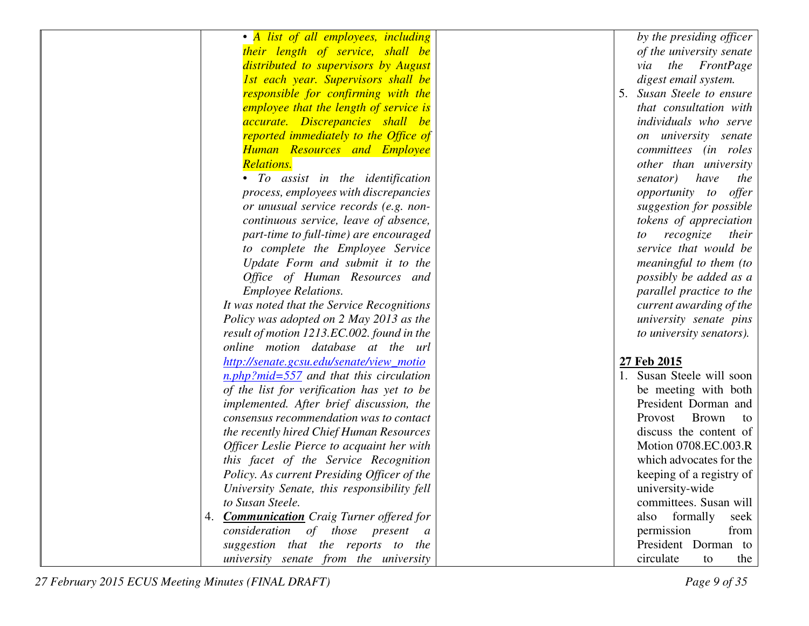| • A list of all employees, including             | by the presiding officer      |
|--------------------------------------------------|-------------------------------|
| their length of service, shall be                | of the university senate      |
| distributed to supervisors by August             | the FrontPage<br>via          |
| 1st each year. Supervisors shall be              | digest email system.          |
| responsible for confirming with the              | Susan Steele to ensure<br>5.  |
| <i>employee that the length of service is</i>    | that consultation with        |
| accurate. Discrepancies shall be                 | individuals who serve         |
| reported immediately to the Office of            | on university senate          |
| <b>Human Resources and Employee</b>              | committees (in roles          |
| <b>Relations.</b>                                | other than university         |
| • To assist in the identification                | senator)<br>have<br>the       |
| process, employees with discrepancies            | opportunity to offer          |
| or unusual service records (e.g. non-            | suggestion for possible       |
| continuous service, leave of absence,            | tokens of appreciation        |
| part-time to full-time) are encouraged           | recognize<br>their<br>to      |
| to complete the Employee Service                 | service that would be         |
| Update Form and submit it to the                 | meaningful to them (to        |
| Office of Human Resources and                    | possibly be added as a        |
| <b>Employee Relations.</b>                       | parallel practice to the      |
| It was noted that the Service Recognitions       | current awarding of the       |
| Policy was adopted on 2 May 2013 as the          | university senate pins        |
| result of motion 1213.EC.002. found in the       | to university senators).      |
| online motion database at the url                |                               |
| http://senate.gcsu.edu/senate/view_motio         | 27 Feb 2015                   |
| $n.php?mid=557$ and that this circulation        | 1. Susan Steele will soon     |
| of the list for verification has yet to be       | be meeting with both          |
| implemented. After brief discussion, the         | President Dorman and          |
| consensus recommendation was to contact          | Provost<br><b>Brown</b><br>to |
| the recently hired Chief Human Resources         | discuss the content of        |
| Officer Leslie Pierce to acquaint her with       | Motion 0708.EC.003.R          |
| this facet of the Service Recognition            | which advocates for the       |
| Policy. As current Presiding Officer of the      | keeping of a registry of      |
| University Senate, this responsibility fell      | university-wide               |
| to Susan Steele.                                 | committees. Susan will        |
| 4. <b>Communication</b> Craig Turner offered for | also formally<br>seek         |
| consideration of those present a                 | permission<br>from            |
| suggestion that the reports to the               | President Dorman to           |
| university senate from the university            | circulate<br>the<br>to        |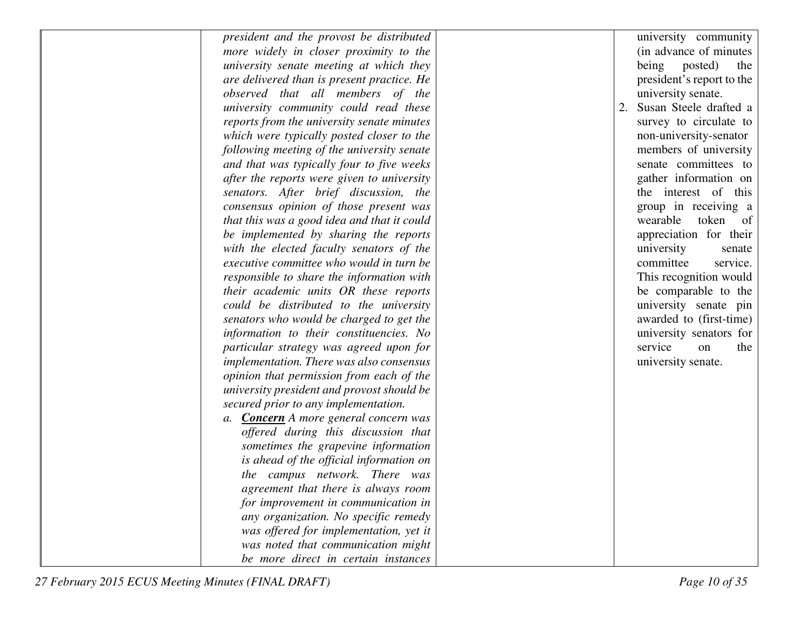| president and the provost be distributed     |    | university community      |
|----------------------------------------------|----|---------------------------|
| more widely in closer proximity to the       |    | (in advance of minutes)   |
| university senate meeting at which they      |    | being<br>posted)<br>the   |
| are delivered than is present practice. He   |    | president's report to the |
| observed that all members of the             |    | university senate.        |
| university community could read these        | 2. | Susan Steele drafted a    |
| reports from the university senate minutes   |    | survey to circulate to    |
| which were typically posted closer to the    |    | non-university-senator    |
| following meeting of the university senate   |    | members of university     |
| and that was typically four to five weeks    |    | senate committees to      |
| after the reports were given to university   |    | gather information on     |
| senators. After brief discussion, the        |    | the interest of this      |
| consensus opinion of those present was       |    | group in receiving a      |
| that this was a good idea and that it could  |    | wearable<br>token of      |
| be implemented by sharing the reports        |    | appreciation for their    |
| with the elected faculty senators of the     |    | university<br>senate      |
| executive committee who would in turn be     |    | committee<br>service.     |
| responsible to share the information with    |    | This recognition would    |
| their academic units OR these reports        |    | be comparable to the      |
| could be distributed to the university       |    | university senate pin     |
| senators who would be charged to get the     |    | awarded to (first-time)   |
| information to their constituencies. No      |    | university senators for   |
| particular strategy was agreed upon for      |    | service<br>on<br>the      |
| implementation. There was also consensus     |    | university senate.        |
| opinion that permission from each of the     |    |                           |
| university president and provost should be   |    |                           |
| secured prior to any implementation.         |    |                           |
| a. <b>Concern</b> A more general concern was |    |                           |
| offered during this discussion that          |    |                           |
| sometimes the grapevine information          |    |                           |
| is ahead of the official information on      |    |                           |
| the campus network. There was                |    |                           |
| agreement that there is always room          |    |                           |
| for improvement in communication in          |    |                           |
| any organization. No specific remedy         |    |                           |
| was offered for implementation, yet it       |    |                           |
| was noted that communication might           |    |                           |
| be more direct in certain instances          |    |                           |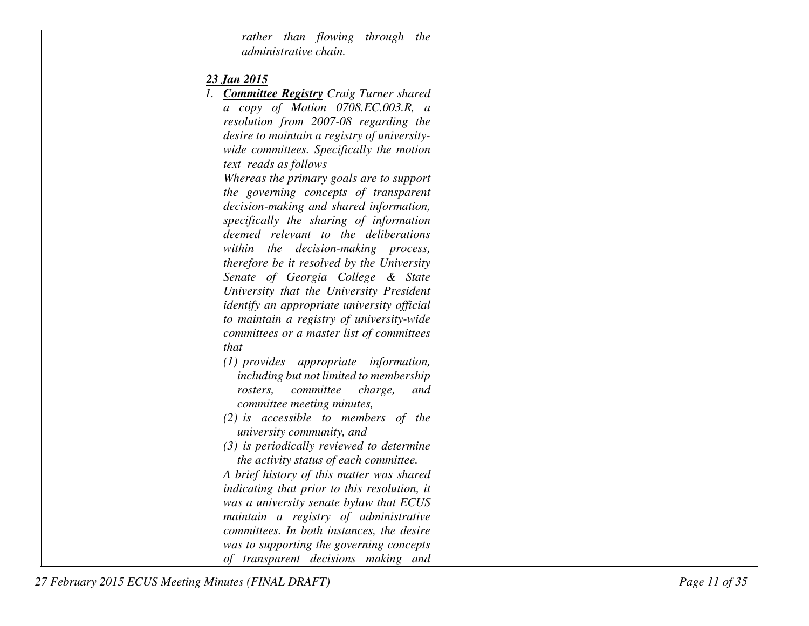| rather than flowing through the                                                    |  |
|------------------------------------------------------------------------------------|--|
| administrative chain.                                                              |  |
| <u>23 Jan 2015</u>                                                                 |  |
| 1. <b>Committee Registry</b> Craig Turner shared                                   |  |
| a copy of Motion 0708.EC.003.R, a                                                  |  |
| resolution from 2007-08 regarding the                                              |  |
| desire to maintain a registry of university-                                       |  |
| wide committees. Specifically the motion                                           |  |
| text reads as follows                                                              |  |
| Whereas the primary goals are to support                                           |  |
| the governing concepts of transparent                                              |  |
| decision-making and shared information,                                            |  |
| specifically the sharing of information                                            |  |
| deemed relevant to the deliberations                                               |  |
| within the decision-making process,                                                |  |
| therefore be it resolved by the University                                         |  |
| Senate of Georgia College & State                                                  |  |
| University that the University President                                           |  |
| <i>identify an appropriate university official</i>                                 |  |
| to maintain a registry of university-wide                                          |  |
| committees or a master list of committees                                          |  |
| that                                                                               |  |
| $(1)$ provides appropriate information,<br>including but not limited to membership |  |
| committee<br>charge,<br>rosters,<br>and                                            |  |
| committee meeting minutes,                                                         |  |
| $(2)$ is accessible to members of the                                              |  |
| university community, and                                                          |  |
| $(3)$ is periodically reviewed to determine                                        |  |
| the activity status of each committee.                                             |  |
| A brief history of this matter was shared                                          |  |
| indicating that prior to this resolution, it                                       |  |
| was a university senate bylaw that ECUS                                            |  |
| maintain a registry of administrative                                              |  |
| committees. In both instances, the desire                                          |  |
| was to supporting the governing concepts                                           |  |
| of transparent decisions making and                                                |  |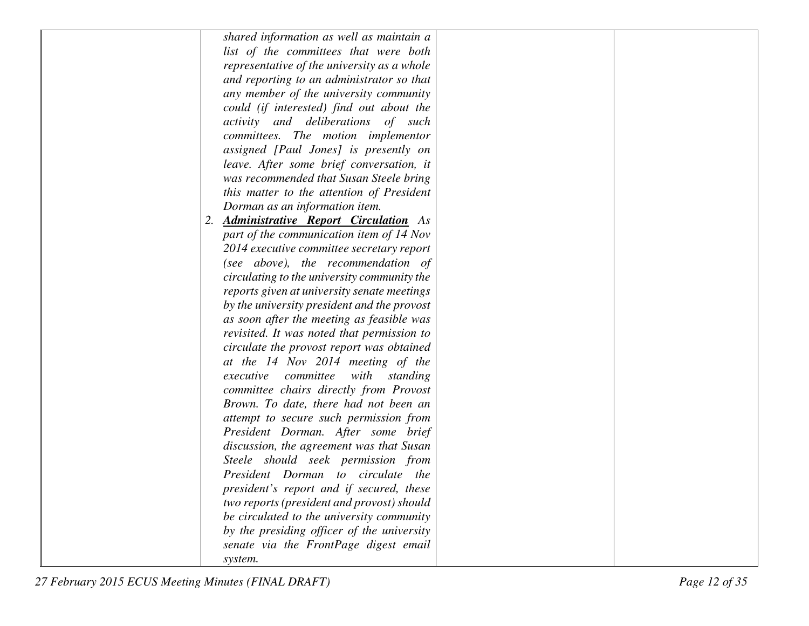| shared information as well as maintain a          |  |
|---------------------------------------------------|--|
| list of the committees that were both             |  |
| representative of the university as a whole       |  |
| and reporting to an administrator so that         |  |
| any member of the university community            |  |
| could (if interested) find out about the          |  |
| activity and deliberations of such                |  |
| committees. The motion implementor                |  |
| assigned [Paul Jones] is presently on             |  |
| leave. After some brief conversation, it          |  |
| was recommended that Susan Steele bring           |  |
| this matter to the attention of President         |  |
| Dorman as an information item.                    |  |
| <b>Administrative Report Circulation</b> As<br>2. |  |
| part of the communication item of 14 Nov          |  |
| 2014 executive committee secretary report         |  |
| (see above), the recommendation of                |  |
| circulating to the university community the       |  |
| reports given at university senate meetings       |  |
| by the university president and the provost       |  |
| as soon after the meeting as feasible was         |  |
| revisited. It was noted that permission to        |  |
| circulate the provost report was obtained         |  |
| at the 14 Nov 2014 meeting of the                 |  |
| executive<br>committee<br>with<br>standing        |  |
| committee chairs directly from Provost            |  |
| Brown. To date, there had not been an             |  |
| attempt to secure such permission from            |  |
| President Dorman. After some brief                |  |
| discussion, the agreement was that Susan          |  |
| Steele should seek permission from                |  |
| President Dorman to circulate the                 |  |
| president's report and if secured, these          |  |
| two reports (president and provost) should        |  |
| be circulated to the university community         |  |
| by the presiding officer of the university        |  |
| senate via the FrontPage digest email             |  |
| system.                                           |  |
|                                                   |  |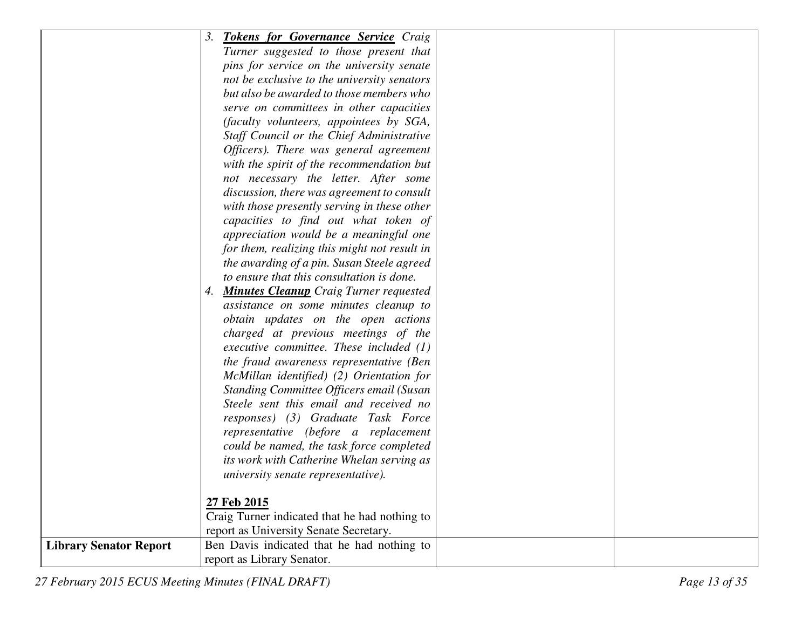|                               | 3.<br><b>Tokens for Governance Service Craig</b> |
|-------------------------------|--------------------------------------------------|
|                               | Turner suggested to those present that           |
|                               | pins for service on the university senate        |
|                               | not be exclusive to the university senators      |
|                               | but also be awarded to those members who         |
|                               | serve on committees in other capacities          |
|                               | (faculty volunteers, appointees by SGA,          |
|                               | Staff Council or the Chief Administrative        |
|                               | Officers). There was general agreement           |
|                               | with the spirit of the recommendation but        |
|                               | not necessary the letter. After some             |
|                               | discussion, there was agreement to consult       |
|                               | with those presently serving in these other      |
|                               | capacities to find out what token of             |
|                               | appreciation would be a meaningful one           |
|                               | for them, realizing this might not result in     |
|                               | the awarding of a pin. Susan Steele agreed       |
|                               | to ensure that this consultation is done.        |
|                               | 4. Minutes Cleanup Craig Turner requested        |
|                               | assistance on some minutes cleanup to            |
|                               | obtain updates on the open actions               |
|                               | charged at previous meetings of the              |
|                               | executive committee. These included $(1)$        |
|                               | the fraud awareness representative (Ben          |
|                               | McMillan identified) (2) Orientation for         |
|                               | Standing Committee Officers email (Susan         |
|                               | Steele sent this email and received no           |
|                               | responses) (3) Graduate Task Force               |
|                               | representative (before a replacement             |
|                               | could be named, the task force completed         |
|                               | its work with Catherine Whelan serving as        |
|                               | university senate representative).               |
|                               |                                                  |
|                               | 27 Feb 2015                                      |
|                               | Craig Turner indicated that he had nothing to    |
|                               | report as University Senate Secretary.           |
| <b>Library Senator Report</b> | Ben Davis indicated that he had nothing to       |
|                               | report as Library Senator.                       |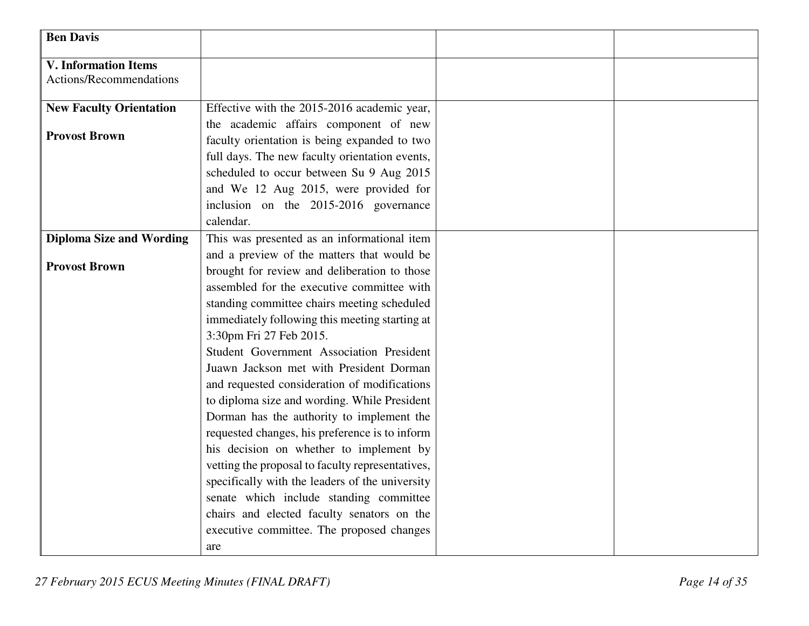| <b>Ben Davis</b>                                       |                                                  |  |
|--------------------------------------------------------|--------------------------------------------------|--|
| <b>V. Information Items</b><br>Actions/Recommendations |                                                  |  |
|                                                        |                                                  |  |
| <b>New Faculty Orientation</b>                         | Effective with the 2015-2016 academic year,      |  |
|                                                        | the academic affairs component of new            |  |
| <b>Provost Brown</b>                                   | faculty orientation is being expanded to two     |  |
|                                                        | full days. The new faculty orientation events,   |  |
|                                                        | scheduled to occur between Su 9 Aug 2015         |  |
|                                                        | and We 12 Aug 2015, were provided for            |  |
|                                                        | inclusion on the 2015-2016 governance            |  |
|                                                        | calendar.                                        |  |
| <b>Diploma Size and Wording</b>                        | This was presented as an informational item      |  |
|                                                        | and a preview of the matters that would be       |  |
| <b>Provost Brown</b>                                   | brought for review and deliberation to those     |  |
|                                                        | assembled for the executive committee with       |  |
|                                                        | standing committee chairs meeting scheduled      |  |
|                                                        | immediately following this meeting starting at   |  |
|                                                        | 3:30pm Fri 27 Feb 2015.                          |  |
|                                                        | Student Government Association President         |  |
|                                                        | Juawn Jackson met with President Dorman          |  |
|                                                        | and requested consideration of modifications     |  |
|                                                        | to diploma size and wording. While President     |  |
|                                                        | Dorman has the authority to implement the        |  |
|                                                        | requested changes, his preference is to inform   |  |
|                                                        | his decision on whether to implement by          |  |
|                                                        | vetting the proposal to faculty representatives, |  |
|                                                        | specifically with the leaders of the university  |  |
|                                                        | senate which include standing committee          |  |
|                                                        | chairs and elected faculty senators on the       |  |
|                                                        | executive committee. The proposed changes        |  |
|                                                        | are                                              |  |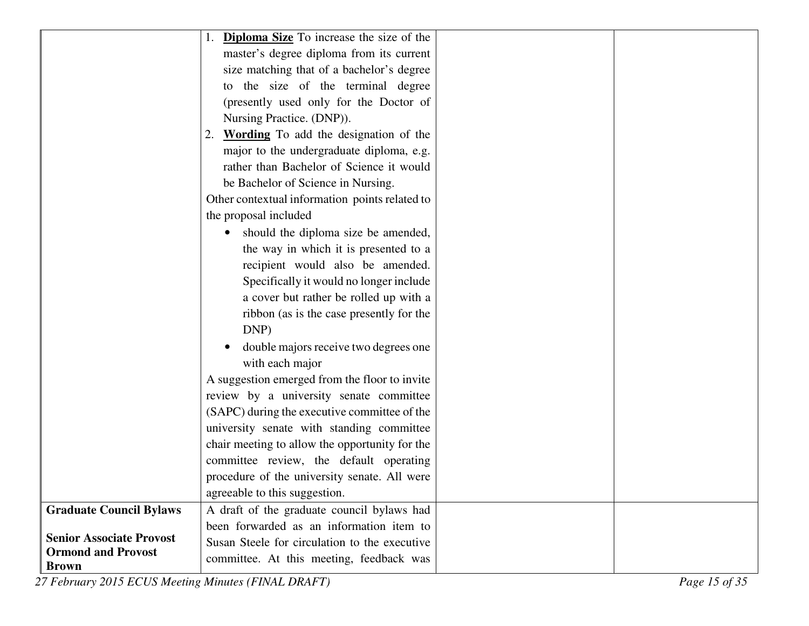|                                 | 1. <b>Diploma Size</b> To increase the size of the |  |
|---------------------------------|----------------------------------------------------|--|
|                                 | master's degree diploma from its current           |  |
|                                 | size matching that of a bachelor's degree          |  |
|                                 | to the size of the terminal degree                 |  |
|                                 | (presently used only for the Doctor of             |  |
|                                 | Nursing Practice. (DNP)).                          |  |
|                                 | 2. Wording To add the designation of the           |  |
|                                 | major to the undergraduate diploma, e.g.           |  |
|                                 | rather than Bachelor of Science it would           |  |
|                                 | be Bachelor of Science in Nursing.                 |  |
|                                 | Other contextual information points related to     |  |
|                                 | the proposal included                              |  |
|                                 | should the diploma size be amended,                |  |
|                                 | the way in which it is presented to a              |  |
|                                 | recipient would also be amended.                   |  |
|                                 | Specifically it would no longer include            |  |
|                                 | a cover but rather be rolled up with a             |  |
|                                 | ribbon (as is the case presently for the           |  |
|                                 | DNP)                                               |  |
|                                 | double majors receive two degrees one              |  |
|                                 | with each major                                    |  |
|                                 | A suggestion emerged from the floor to invite      |  |
|                                 | review by a university senate committee            |  |
|                                 | (SAPC) during the executive committee of the       |  |
|                                 | university senate with standing committee          |  |
|                                 | chair meeting to allow the opportunity for the     |  |
|                                 | committee review, the default operating            |  |
|                                 | procedure of the university senate. All were       |  |
|                                 | agreeable to this suggestion.                      |  |
| <b>Graduate Council Bylaws</b>  | A draft of the graduate council bylaws had         |  |
| <b>Senior Associate Provost</b> | been forwarded as an information item to           |  |
| <b>Ormond and Provost</b>       | Susan Steele for circulation to the executive      |  |
| <b>Brown</b>                    | committee. At this meeting, feedback was           |  |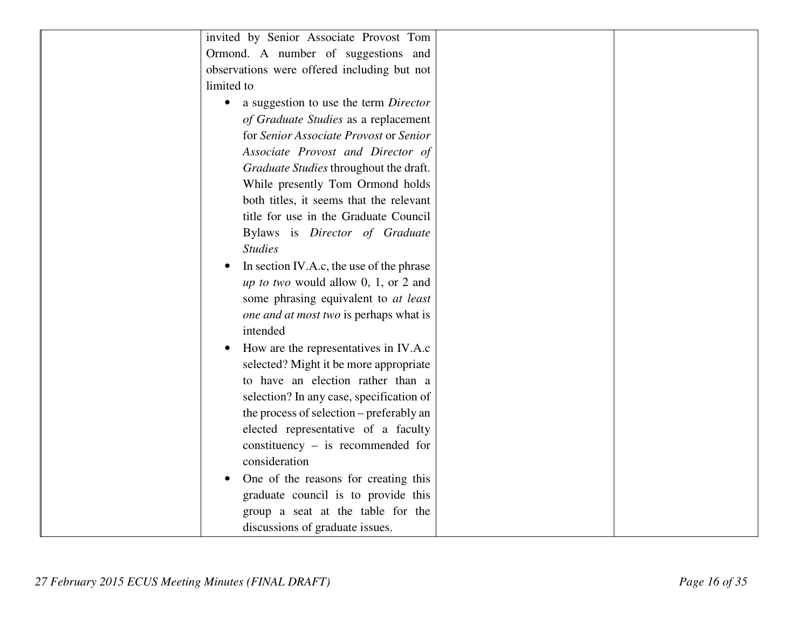| invited by Senior Associate Provost Tom               |  |
|-------------------------------------------------------|--|
| Ormond. A number of suggestions and                   |  |
| observations were offered including but not           |  |
| limited to                                            |  |
|                                                       |  |
| a suggestion to use the term Director<br>$\bullet$    |  |
| of Graduate Studies as a replacement                  |  |
| for Senior Associate Provost or Senior                |  |
| Associate Provost and Director of                     |  |
| Graduate Studies throughout the draft.                |  |
| While presently Tom Ormond holds                      |  |
| both titles, it seems that the relevant               |  |
| title for use in the Graduate Council                 |  |
| Bylaws is Director of Graduate                        |  |
| <b>Studies</b>                                        |  |
| In section IV.A.c, the use of the phrase<br>$\bullet$ |  |
| <i>up to two</i> would allow 0, 1, or 2 and           |  |
| some phrasing equivalent to at least                  |  |
| one and at most two is perhaps what is                |  |
| intended                                              |  |
| How are the representatives in IV.A.c<br>$\bullet$    |  |
| selected? Might it be more appropriate                |  |
| to have an election rather than a                     |  |
| selection? In any case, specification of              |  |
| the process of selection – preferably an              |  |
| elected representative of a faculty                   |  |
| constituency $-$ is recommended for                   |  |
| consideration                                         |  |
|                                                       |  |
| One of the reasons for creating this<br>$\bullet$     |  |
| graduate council is to provide this                   |  |
| group a seat at the table for the                     |  |
| discussions of graduate issues.                       |  |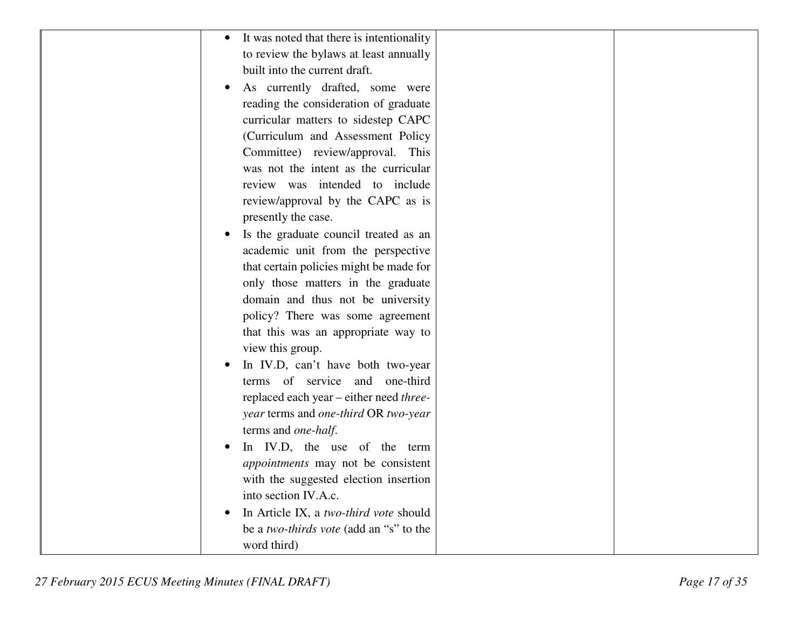| It was noted that there is intentionality |
|-------------------------------------------|
|                                           |
| to review the bylaws at least annually    |
| built into the current draft.             |
| As currently drafted, some were           |
| reading the consideration of graduate     |
| curricular matters to sidestep CAPC       |
| (Curriculum and Assessment Policy         |
| Committee) review/approval. This          |
| was not the intent as the curricular      |
| review was intended to include            |
| review/approval by the CAPC as is         |
| presently the case.                       |
| Is the graduate council treated as an     |
| academic unit from the perspective        |
| that certain policies might be made for   |
| only those matters in the graduate        |
| domain and thus not be university         |
| policy? There was some agreement          |
| that this was an appropriate way to       |
| view this group.                          |
| In IV.D, can't have both two-year         |
| terms of service and one-third            |
| replaced each year - either need three-   |
| year terms and one-third OR two-year      |
| terms and one-half.                       |
| In IV.D, the use of the term              |
| appointments may not be consistent        |
| with the suggested election insertion     |
| into section IV.A.c.                      |
| In Article IX, a two-third vote should    |
| be a two-thirds vote (add an "s" to the   |
| word third)                               |
|                                           |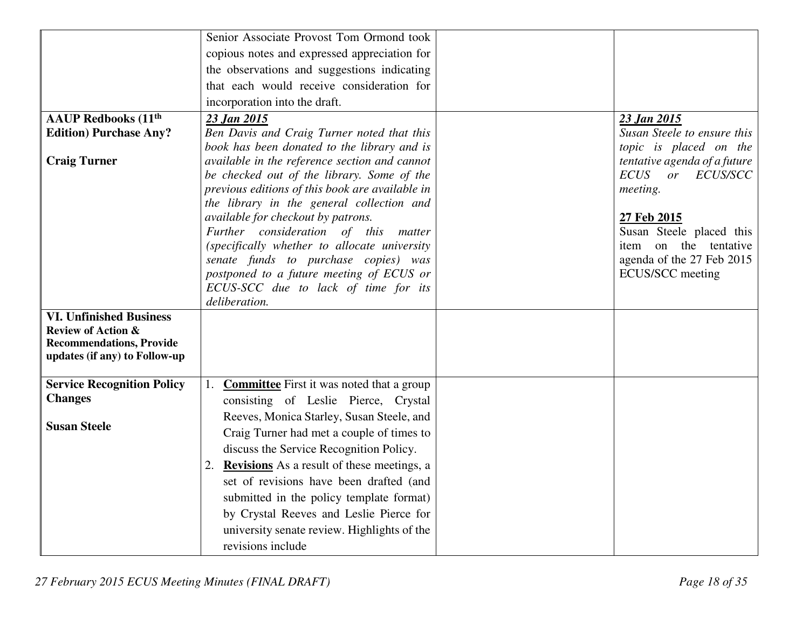|                                   | Senior Associate Provost Tom Ormond took                                      |                                         |
|-----------------------------------|-------------------------------------------------------------------------------|-----------------------------------------|
|                                   | copious notes and expressed appreciation for                                  |                                         |
|                                   | the observations and suggestions indicating                                   |                                         |
|                                   | that each would receive consideration for                                     |                                         |
|                                   | incorporation into the draft.                                                 |                                         |
| <b>AAUP Redbooks (11th</b>        | 23 Jan 2015                                                                   | 23 Jan 2015                             |
| <b>Edition) Purchase Any?</b>     | Ben Davis and Craig Turner noted that this                                    | Susan Steele to ensure this             |
|                                   | book has been donated to the library and is                                   | topic is placed on the                  |
| <b>Craig Turner</b>               | available in the reference section and cannot                                 | tentative agenda of a future            |
|                                   | be checked out of the library. Some of the                                    | <b>ECUS</b><br>or ECUS/SCC              |
|                                   | previous editions of this book are available in                               | meeting.                                |
|                                   | the library in the general collection and                                     |                                         |
|                                   | available for checkout by patrons.<br>Further consideration of this<br>matter | 27 Feb 2015<br>Susan Steele placed this |
|                                   | (specifically whether to allocate university                                  | item on the tentative                   |
|                                   | senate funds to purchase copies) was                                          | agenda of the 27 Feb 2015               |
|                                   | postponed to a future meeting of ECUS or                                      | ECUS/SCC meeting                        |
|                                   | ECUS-SCC due to lack of time for its                                          |                                         |
|                                   | deliberation.                                                                 |                                         |
| <b>VI. Unfinished Business</b>    |                                                                               |                                         |
| <b>Review of Action &amp;</b>     |                                                                               |                                         |
| <b>Recommendations, Provide</b>   |                                                                               |                                         |
| updates (if any) to Follow-up     |                                                                               |                                         |
| <b>Service Recognition Policy</b> | <b>Committee</b> First it was noted that a group<br>1.                        |                                         |
| <b>Changes</b>                    | consisting of Leslie Pierce, Crystal                                          |                                         |
|                                   | Reeves, Monica Starley, Susan Steele, and                                     |                                         |
| <b>Susan Steele</b>               | Craig Turner had met a couple of times to                                     |                                         |
|                                   | discuss the Service Recognition Policy.                                       |                                         |
|                                   | 2. Revisions As a result of these meetings, a                                 |                                         |
|                                   | set of revisions have been drafted (and                                       |                                         |
|                                   | submitted in the policy template format)                                      |                                         |
|                                   | by Crystal Reeves and Leslie Pierce for                                       |                                         |
|                                   |                                                                               |                                         |
|                                   | university senate review. Highlights of the                                   |                                         |
|                                   | revisions include                                                             |                                         |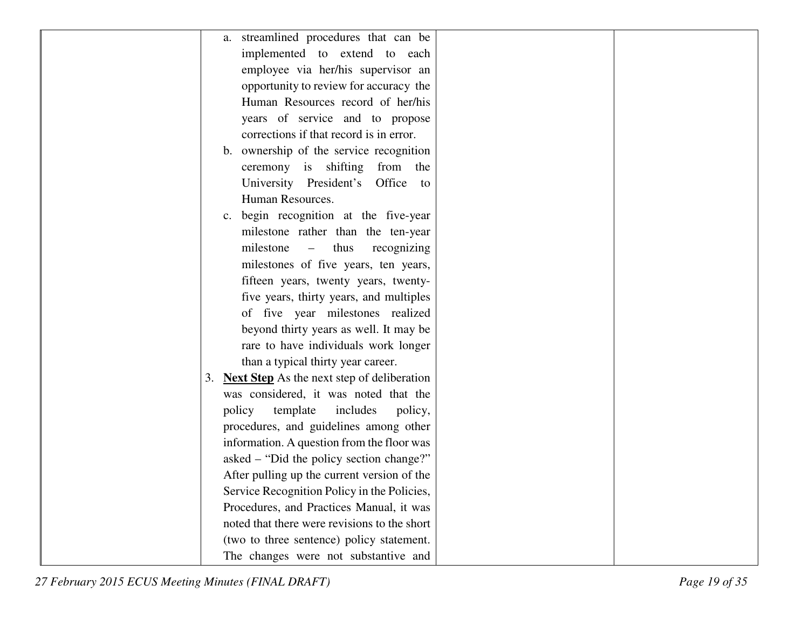| a. streamlined procedures that can be                   |
|---------------------------------------------------------|
| implemented to extend to each                           |
| employee via her/his supervisor an                      |
| opportunity to review for accuracy the                  |
| Human Resources record of her/his                       |
| years of service and to propose                         |
| corrections if that record is in error.                 |
| b. ownership of the service recognition                 |
| ceremony is shifting from<br>the                        |
| University President's Office<br>to                     |
| Human Resources.                                        |
| c. begin recognition at the five-year                   |
| milestone rather than the ten-year                      |
| milestone<br>thus<br>$\qquad \qquad -$<br>recognizing   |
| milestones of five years, ten years,                    |
| fifteen years, twenty years, twenty-                    |
| five years, thirty years, and multiples                 |
| of five year milestones realized                        |
| beyond thirty years as well. It may be                  |
| rare to have individuals work longer                    |
| than a typical thirty year career.                      |
| <b>Next Step</b> As the next step of deliberation<br>3. |
| was considered, it was noted that the                   |
| includes<br>policy<br>template<br>policy,               |
| procedures, and guidelines among other                  |
| information. A question from the floor was              |
| asked – "Did the policy section change?"                |
| After pulling up the current version of the             |
| Service Recognition Policy in the Policies,             |
| Procedures, and Practices Manual, it was                |
| noted that there were revisions to the short            |
| (two to three sentence) policy statement.               |
| The changes were not substantive and                    |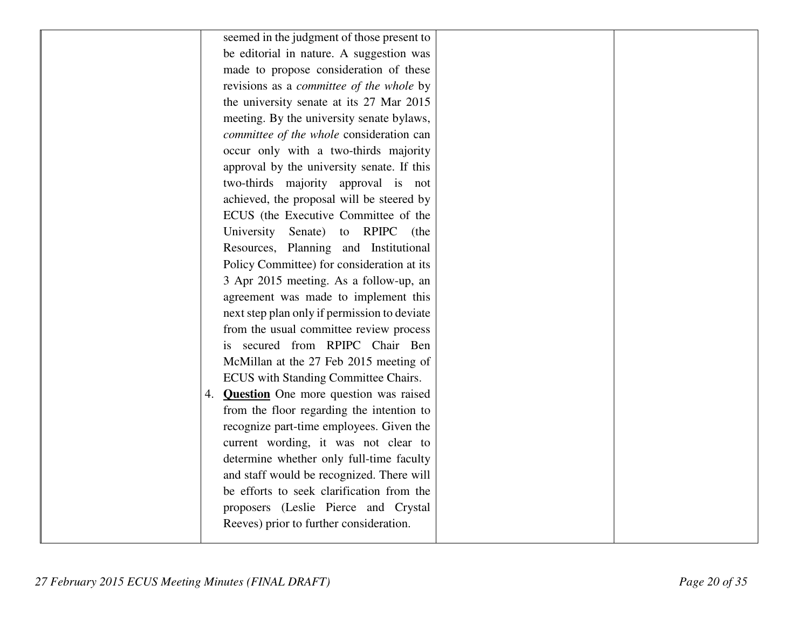| seemed in the judgment of those present to      |
|-------------------------------------------------|
| be editorial in nature. A suggestion was        |
| made to propose consideration of these          |
| revisions as a <i>committee of the whole</i> by |
| the university senate at its 27 Mar 2015        |
| meeting. By the university senate bylaws,       |
| committee of the whole consideration can        |
| occur only with a two-thirds majority           |
| approval by the university senate. If this      |
| two-thirds majority approval is not             |
| achieved, the proposal will be steered by       |
| ECUS (the Executive Committee of the            |
| University Senate) to RPIPC (the                |
| Resources, Planning and Institutional           |
| Policy Committee) for consideration at its      |
| 3 Apr 2015 meeting. As a follow-up, an          |
| agreement was made to implement this            |
| next step plan only if permission to deviate    |
| from the usual committee review process         |
| secured from RPIPC Chair Ben<br>is.             |
| McMillan at the 27 Feb 2015 meeting of          |
| ECUS with Standing Committee Chairs.            |
| 4. <b>Question</b> One more question was raised |
| from the floor regarding the intention to       |
| recognize part-time employees. Given the        |
| current wording, it was not clear to            |
| determine whether only full-time faculty        |
| and staff would be recognized. There will       |
| be efforts to seek clarification from the       |
| proposers (Leslie Pierce and Crystal            |
| Reeves) prior to further consideration.         |
|                                                 |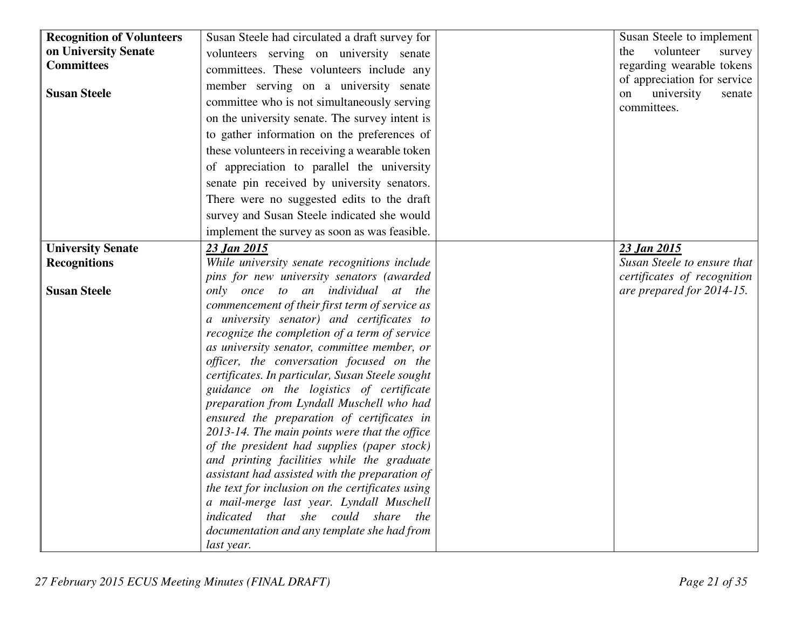| <b>Recognition of Volunteers</b> | Susan Steele had circulated a draft survey for                                               | Susan Steele to implement                                 |
|----------------------------------|----------------------------------------------------------------------------------------------|-----------------------------------------------------------|
| on University Senate             | volunteers serving on university senate                                                      | volunteer<br>the<br>survey                                |
| <b>Committees</b>                | committees. These volunteers include any                                                     | regarding wearable tokens                                 |
| <b>Susan Steele</b>              | member serving on a university senate                                                        | of appreciation for service<br>university<br>on<br>senate |
|                                  | committee who is not simultaneously serving                                                  | committees.                                               |
|                                  | on the university senate. The survey intent is                                               |                                                           |
|                                  | to gather information on the preferences of                                                  |                                                           |
|                                  | these volunteers in receiving a wearable token                                               |                                                           |
|                                  | of appreciation to parallel the university                                                   |                                                           |
|                                  | senate pin received by university senators.                                                  |                                                           |
|                                  | There were no suggested edits to the draft                                                   |                                                           |
|                                  | survey and Susan Steele indicated she would                                                  |                                                           |
|                                  | implement the survey as soon as was feasible.                                                |                                                           |
| <b>University Senate</b>         | 23 Jan 2015                                                                                  | 23 Jan 2015                                               |
| <b>Recognitions</b>              | While university senate recognitions include                                                 | Susan Steele to ensure that                               |
|                                  | pins for new university senators (awarded                                                    | certificates of recognition                               |
| <b>Susan Steele</b>              | only once to an individual at the                                                            | are prepared for 2014-15.                                 |
|                                  | commencement of their first term of service as                                               |                                                           |
|                                  | a university senator) and certificates to                                                    |                                                           |
|                                  | recognize the completion of a term of service                                                |                                                           |
|                                  | as university senator, committee member, or                                                  |                                                           |
|                                  | officer, the conversation focused on the                                                     |                                                           |
|                                  | certificates. In particular, Susan Steele sought                                             |                                                           |
|                                  | guidance on the logistics of certificate                                                     |                                                           |
|                                  | preparation from Lyndall Muschell who had                                                    |                                                           |
|                                  | ensured the preparation of certificates in                                                   |                                                           |
|                                  | 2013-14. The main points were that the office<br>of the president had supplies (paper stock) |                                                           |
|                                  | and printing facilities while the graduate                                                   |                                                           |
|                                  | assistant had assisted with the preparation of                                               |                                                           |
|                                  | the text for inclusion on the certificates using                                             |                                                           |
|                                  | a mail-merge last year. Lyndall Muschell                                                     |                                                           |
|                                  | indicated that she could share the                                                           |                                                           |
|                                  | documentation and any template she had from                                                  |                                                           |
|                                  | last year.                                                                                   |                                                           |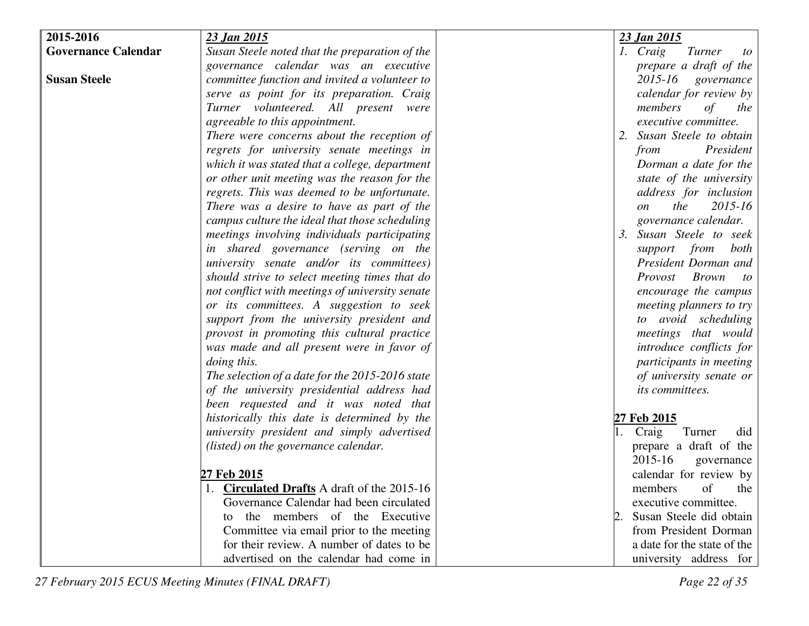| 2015-2016                  | 23 Jan 2015                                        | 23 Jan 2015                         |
|----------------------------|----------------------------------------------------|-------------------------------------|
| <b>Governance Calendar</b> | Susan Steele noted that the preparation of the     | 1. Craig<br>Turner<br>to            |
|                            | governance calendar was an executive               | prepare a draft of the              |
| <b>Susan Steele</b>        | committee function and invited a volunteer to      | 2015-16 governance                  |
|                            | serve as point for its preparation. Craig          | calendar for review by              |
|                            | Turner volunteered. All present were               | members<br>of<br>the                |
|                            | agreeable to this appointment.                     | executive committee.                |
|                            | There were concerns about the reception of         | Susan Steele to obtain              |
|                            | regrets for university senate meetings in          | President<br>from                   |
|                            | which it was stated that a college, department     | Dorman a date for the               |
|                            | or other unit meeting was the reason for the       | state of the university             |
|                            | regrets. This was deemed to be unfortunate.        | address for inclusion               |
|                            | There was a desire to have as part of the          | the<br>2015-16<br><i>on</i>         |
|                            | campus culture the ideal that those scheduling     | governance calendar.                |
|                            | meetings involving individuals participating       | Susan Steele to seek<br>3.          |
|                            | in shared governance (serving on the               | support from both                   |
|                            | university senate and/or its committees)           | President Dorman and                |
|                            | should strive to select meeting times that do      | <b>Brown</b><br>Provost<br>$\omega$ |
|                            | not conflict with meetings of university senate    | encourage the campus                |
|                            | or its committees. A suggestion to seek            | meeting planners to try             |
|                            | support from the university president and          | to avoid scheduling                 |
|                            | provost in promoting this cultural practice        | meetings that would                 |
|                            | was made and all present were in favor of          | introduce conflicts for             |
|                            | doing this.                                        | participants in meeting             |
|                            | The selection of a date for the 2015-2016 state    | of university senate or             |
|                            | of the university presidential address had         | its committees.                     |
|                            | been requested and it was noted that               |                                     |
|                            | historically this date is determined by the        | <u>27 Feb 2015</u>                  |
|                            | university president and simply advertised         | Turner<br>Craig<br>did              |
|                            | (listed) on the governance calendar.               | prepare a draft of the              |
|                            |                                                    | 2015-16<br>governance               |
|                            | 27 Feb 2015                                        | calendar for review by              |
|                            | 1. <b>Circulated Drafts</b> A draft of the 2015-16 | members<br>of<br>the                |
|                            | Governance Calendar had been circulated            | executive committee.                |
|                            | the members of the Executive<br>to                 | Susan Steele did obtain             |
|                            | Committee via email prior to the meeting           | from President Dorman               |
|                            | for their review. A number of dates to be          | a date for the state of the         |
|                            | advertised on the calendar had come in             | university address for              |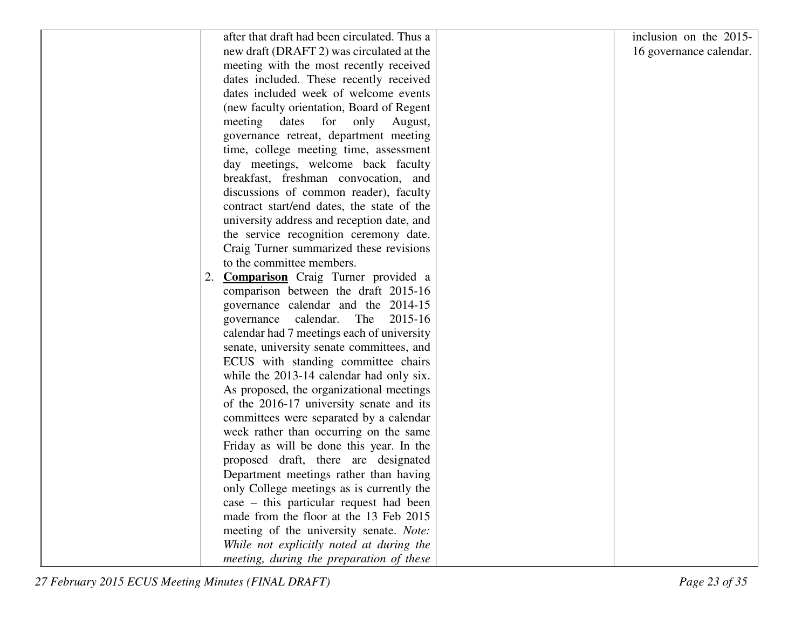| after that draft had been circulated. Thus a | inclusion on the 2015-  |
|----------------------------------------------|-------------------------|
| new draft (DRAFT 2) was circulated at the    | 16 governance calendar. |
| meeting with the most recently received      |                         |
| dates included. These recently received      |                         |
| dates included week of welcome events        |                         |
| (new faculty orientation, Board of Regent    |                         |
| meeting dates for only<br>August,            |                         |
| governance retreat, department meeting       |                         |
| time, college meeting time, assessment       |                         |
| day meetings, welcome back faculty           |                         |
| breakfast, freshman convocation, and         |                         |
| discussions of common reader), faculty       |                         |
| contract start/end dates, the state of the   |                         |
| university address and reception date, and   |                         |
| the service recognition ceremony date.       |                         |
| Craig Turner summarized these revisions      |                         |
| to the committee members.                    |                         |
| 2. <b>Comparison</b> Craig Turner provided a |                         |
| comparison between the draft 2015-16         |                         |
| governance calendar and the 2014-15          |                         |
| governance calendar.<br>The<br>2015-16       |                         |
| calendar had 7 meetings each of university   |                         |
| senate, university senate committees, and    |                         |
| ECUS with standing committee chairs          |                         |
| while the 2013-14 calendar had only six.     |                         |
| As proposed, the organizational meetings     |                         |
| of the 2016-17 university senate and its     |                         |
| committees were separated by a calendar      |                         |
| week rather than occurring on the same       |                         |
| Friday as will be done this year. In the     |                         |
| proposed draft, there are designated         |                         |
| Department meetings rather than having       |                         |
| only College meetings as is currently the    |                         |
| case – this particular request had been      |                         |
| made from the floor at the 13 Feb 2015       |                         |
| meeting of the university senate. Note:      |                         |
| While not explicitly noted at during the     |                         |
| meeting, during the preparation of these     |                         |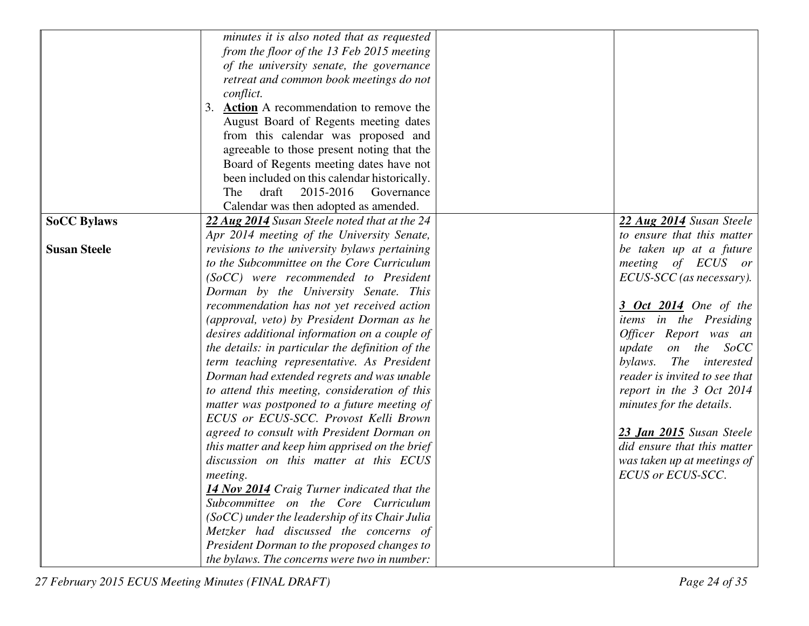|                     | minutes it is also noted that as requested       |                               |
|---------------------|--------------------------------------------------|-------------------------------|
|                     | from the floor of the 13 Feb 2015 meeting        |                               |
|                     | of the university senate, the governance         |                               |
|                     | retreat and common book meetings do not          |                               |
|                     | conflict.                                        |                               |
|                     | 3. Action A recommendation to remove the         |                               |
|                     | August Board of Regents meeting dates            |                               |
|                     | from this calendar was proposed and              |                               |
|                     | agreeable to those present noting that the       |                               |
|                     | Board of Regents meeting dates have not          |                               |
|                     | been included on this calendar historically.     |                               |
|                     | draft<br>2015-2016<br>The<br>Governance          |                               |
|                     | Calendar was then adopted as amended.            |                               |
|                     |                                                  | 22 Aug 2014 Susan Steele      |
| <b>SoCC Bylaws</b>  | 22 Aug 2014 Susan Steele noted that at the 24    | to ensure that this matter    |
|                     | Apr 2014 meeting of the University Senate,       |                               |
| <b>Susan Steele</b> | revisions to the university bylaws pertaining    | be taken up at a future       |
|                     | to the Subcommittee on the Core Curriculum       | meeting of ECUS or            |
|                     | (SoCC) were recommended to President             | ECUS-SCC (as necessary).      |
|                     | Dorman by the University Senate. This            |                               |
|                     | recommendation has not yet received action       | 3 Oct 2014 One of the         |
|                     | (approval, veto) by President Dorman as he       | items in the Presiding        |
|                     | desires additional information on a couple of    | Officer Report was an         |
|                     | the details: in particular the definition of the | update on the SoCC            |
|                     | term teaching representative. As President       | The interested<br>bylaws.     |
|                     | Dorman had extended regrets and was unable       | reader is invited to see that |
|                     | to attend this meeting, consideration of this    | report in the 3 Oct 2014      |
|                     | matter was postponed to a future meeting of      | minutes for the details.      |
|                     | ECUS or ECUS-SCC. Provost Kelli Brown            |                               |
|                     | agreed to consult with President Dorman on       | 23 Jan 2015 Susan Steele      |
|                     | this matter and keep him apprised on the brief   | did ensure that this matter   |
|                     | discussion on this matter at this ECUS           | was taken up at meetings of   |
|                     | <i>meeting.</i>                                  | ECUS or ECUS-SCC.             |
|                     | 14 Nov 2014 Craig Turner indicated that the      |                               |
|                     | Subcommittee on the Core Curriculum              |                               |
|                     | $(SoCC)$ under the leadership of its Chair Julia |                               |
|                     | Metzker had discussed the concerns of            |                               |
|                     | President Dorman to the proposed changes to      |                               |
|                     | the bylaws. The concerns were two in number:     |                               |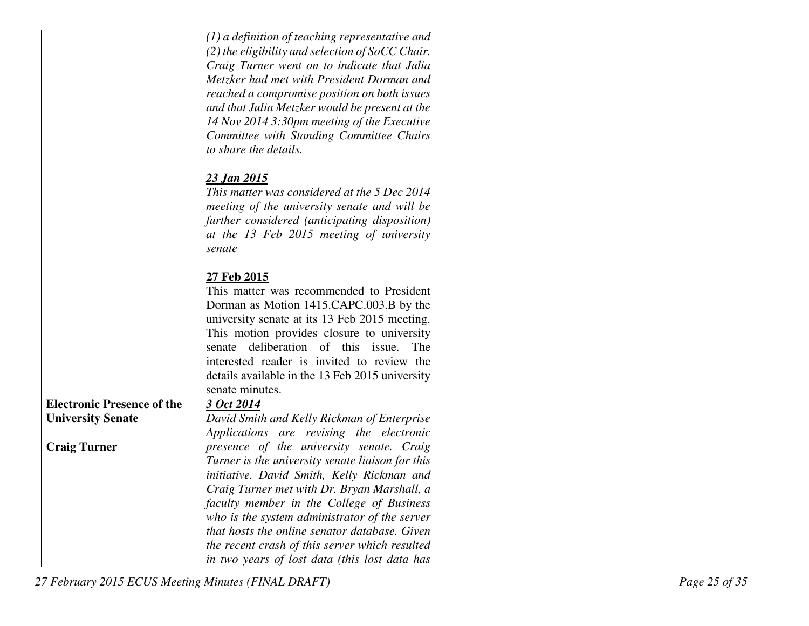|                                   | $(1)$ a definition of teaching representative and  |  |
|-----------------------------------|----------------------------------------------------|--|
|                                   | $(2)$ the eligibility and selection of SoCC Chair. |  |
|                                   | Craig Turner went on to indicate that Julia        |  |
|                                   | Metzker had met with President Dorman and          |  |
|                                   | reached a compromise position on both issues       |  |
|                                   | and that Julia Metzker would be present at the     |  |
|                                   | 14 Nov 2014 3:30pm meeting of the Executive        |  |
|                                   | Committee with Standing Committee Chairs           |  |
|                                   | to share the details.                              |  |
|                                   |                                                    |  |
|                                   | <u>23 Jan 2015</u>                                 |  |
|                                   | This matter was considered at the 5 Dec 2014       |  |
|                                   | meeting of the university senate and will be       |  |
|                                   | further considered (anticipating disposition)      |  |
|                                   | at the 13 Feb 2015 meeting of university           |  |
|                                   | senate                                             |  |
|                                   |                                                    |  |
|                                   | 27 Feb 2015                                        |  |
|                                   | This matter was recommended to President           |  |
|                                   | Dorman as Motion 1415.CAPC.003.B by the            |  |
|                                   | university senate at its 13 Feb 2015 meeting.      |  |
|                                   | This motion provides closure to university         |  |
|                                   | senate deliberation of this issue.<br>The          |  |
|                                   | interested reader is invited to review the         |  |
|                                   | details available in the 13 Feb 2015 university    |  |
|                                   | senate minutes.                                    |  |
| <b>Electronic Presence of the</b> | 3 Oct 2014                                         |  |
| <b>University Senate</b>          | David Smith and Kelly Rickman of Enterprise        |  |
|                                   | Applications are revising the electronic           |  |
| <b>Craig Turner</b>               | presence of the university senate. Craig           |  |
|                                   | Turner is the university senate liaison for this   |  |
|                                   | initiative. David Smith, Kelly Rickman and         |  |
|                                   | Craig Turner met with Dr. Bryan Marshall, a        |  |
|                                   | faculty member in the College of Business          |  |
|                                   | who is the system administrator of the server      |  |
|                                   | that hosts the online senator database. Given      |  |
|                                   | the recent crash of this server which resulted     |  |
|                                   | in two years of lost data (this lost data has      |  |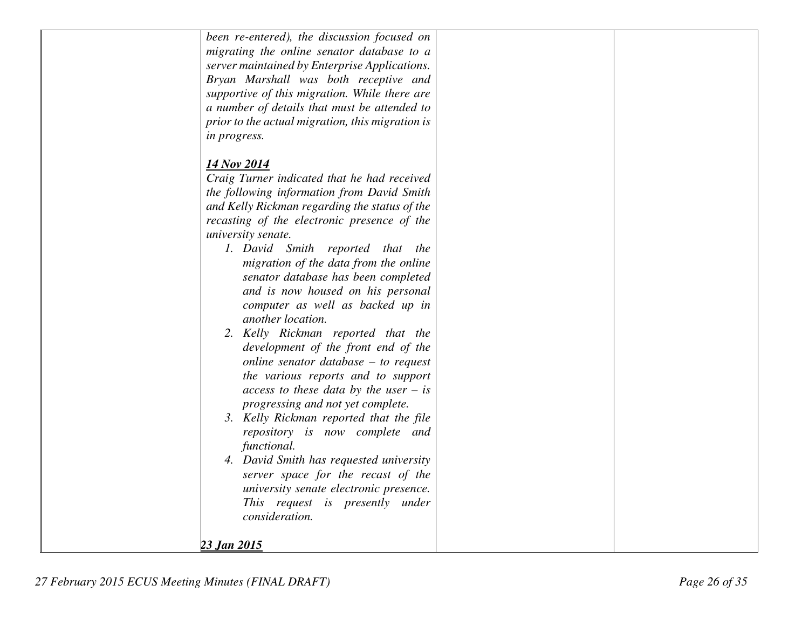| been re-entered), the discussion focused on      |  |
|--------------------------------------------------|--|
| migrating the online senator database to a       |  |
| server maintained by Enterprise Applications.    |  |
| Bryan Marshall was both receptive and            |  |
| supportive of this migration. While there are    |  |
| a number of details that must be attended to     |  |
| prior to the actual migration, this migration is |  |
|                                                  |  |
| <i>in progress.</i>                              |  |
| 14 Nov 2014                                      |  |
| Craig Turner indicated that he had received      |  |
| the following information from David Smith       |  |
| and Kelly Rickman regarding the status of the    |  |
| recasting of the electronic presence of the      |  |
| university senate.                               |  |
| 1. David Smith reported that the                 |  |
| migration of the data from the online            |  |
| senator database has been completed              |  |
| and is now housed on his personal                |  |
| computer as well as backed up in                 |  |
| another location.                                |  |
| 2. Kelly Rickman reported that the               |  |
| development of the front end of the              |  |
|                                                  |  |
| online senator database $-$ to request           |  |
| the various reports and to support               |  |
| access to these data by the user $-$ is          |  |
| progressing and not yet complete.                |  |
| 3. Kelly Rickman reported that the file          |  |
| repository is now complete and                   |  |
| functional.                                      |  |
| 4. David Smith has requested university          |  |
| server space for the recast of the               |  |
| university senate electronic presence.           |  |
| This request is presently under                  |  |
| consideration.                                   |  |
|                                                  |  |
| 23 Jan 2015                                      |  |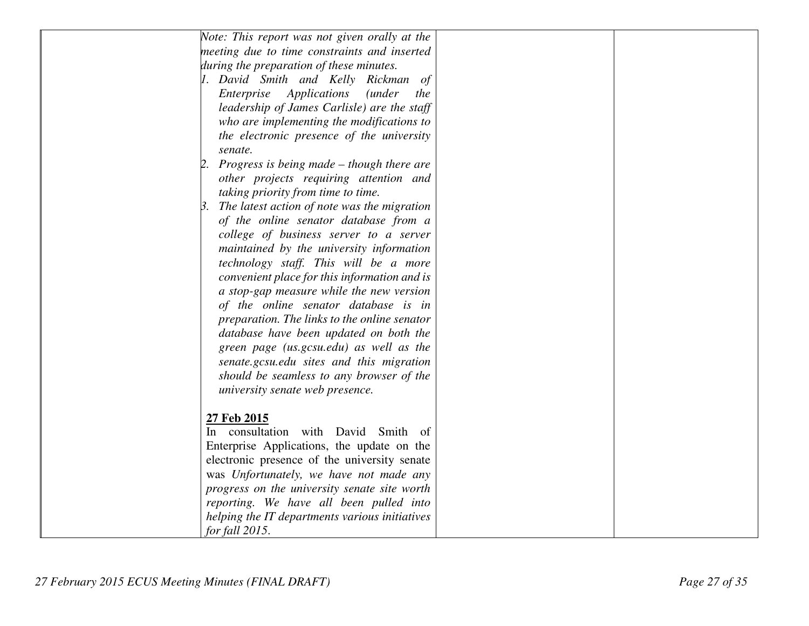| Note: This report was not given orally at the         |  |
|-------------------------------------------------------|--|
| meeting due to time constraints and inserted          |  |
| during the preparation of these minutes.              |  |
| 1. David Smith and Kelly Rickman of                   |  |
| Enterprise Applications<br><i>(under)</i><br>the      |  |
| leadership of James Carlisle) are the staff           |  |
| who are implementing the modifications to             |  |
| the electronic presence of the university             |  |
| senate.                                               |  |
| 2. Progress is being made $-$ though there are        |  |
| other projects requiring attention and                |  |
| taking priority from time to time.                    |  |
| $\beta$ . The latest action of note was the migration |  |
| of the online senator database from a                 |  |
| college of business server to a server                |  |
| maintained by the university information              |  |
| technology staff. This will be a more                 |  |
| convenient place for this information and is          |  |
| a stop-gap measure while the new version              |  |
| of the online senator database is in                  |  |
| preparation. The links to the online senator          |  |
| database have been updated on both the                |  |
| green page (us.gcsu.edu) as well as the               |  |
| senate.gcsu.edu sites and this migration              |  |
| should be seamless to any browser of the              |  |
| university senate web presence.                       |  |
|                                                       |  |
| 27 Feb 2015                                           |  |
| In consultation with David Smith of                   |  |
| Enterprise Applications, the update on the            |  |
| electronic presence of the university senate          |  |
| was Unfortunately, we have not made any               |  |
| progress on the university senate site worth          |  |
| reporting. We have all been pulled into               |  |
| helping the IT departments various initiatives        |  |
| for fall 2015.                                        |  |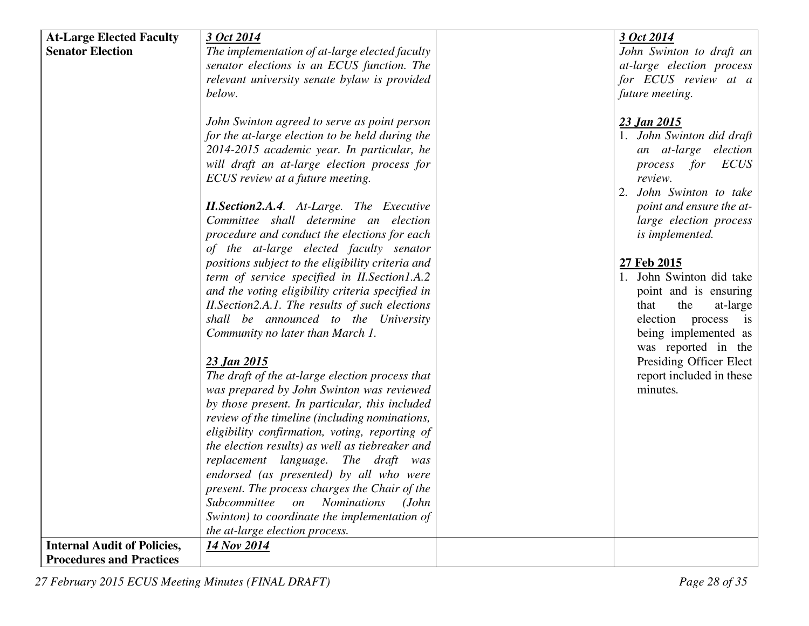| <b>At-Large Elected Faculty</b>    | 3 Oct 2014                                                | 3 Oct 2014                |
|------------------------------------|-----------------------------------------------------------|---------------------------|
| <b>Senator Election</b>            | The implementation of at-large elected faculty            | John Swinton to draft an  |
|                                    | senator elections is an ECUS function. The                | at-large election process |
|                                    | relevant university senate bylaw is provided              | for ECUS review at a      |
|                                    | below.                                                    | future meeting.           |
|                                    |                                                           |                           |
|                                    | John Swinton agreed to serve as point person              | 23 Jan 2015               |
|                                    | for the at-large election to be held during the           | 1. John Swinton did draft |
|                                    | 2014-2015 academic year. In particular, he                | an at-large election      |
|                                    | will draft an at-large election process for               | ECUS<br>process for       |
|                                    | ECUS review at a future meeting.                          | review.                   |
|                                    |                                                           | 2. John Swinton to take   |
|                                    | <b>II. Section 2.A.4.</b> At-Large. The Executive         | point and ensure the at-  |
|                                    | Committee shall determine an election                     | large election process    |
|                                    | procedure and conduct the elections for each              | is implemented.           |
|                                    | of the at-large elected faculty senator                   |                           |
|                                    | positions subject to the eligibility criteria and         | 27 Feb 2015               |
|                                    | term of service specified in II. Section 1.A.2            | 1. John Swinton did take  |
|                                    | and the voting eligibility criteria specified in          | point and is ensuring     |
|                                    | II. Section 2.A.1. The results of such elections          | that<br>the<br>at-large   |
|                                    | shall be announced to the University                      | election process is       |
|                                    | Community no later than March 1.                          | being implemented as      |
|                                    |                                                           | was reported in the       |
|                                    | 23 Jan 2015                                               | Presiding Officer Elect   |
|                                    | The draft of the at-large election process that           | report included in these  |
|                                    | was prepared by John Swinton was reviewed                 | minutes.                  |
|                                    | by those present. In particular, this included            |                           |
|                                    | review of the timeline (including nominations,            |                           |
|                                    | eligibility confirmation, voting, reporting of            |                           |
|                                    | the election results) as well as tiebreaker and           |                           |
|                                    | replacement language. The draft was                       |                           |
|                                    | endorsed (as presented) by all who were                   |                           |
|                                    | present. The process charges the Chair of the             |                           |
|                                    | Subcommittee<br><b>Nominations</b><br>(John)<br><i>on</i> |                           |
|                                    | Swinton) to coordinate the implementation of              |                           |
|                                    | the at-large election process.                            |                           |
| <b>Internal Audit of Policies,</b> | 14 Nov 2014                                               |                           |
| <b>Procedures and Practices</b>    |                                                           |                           |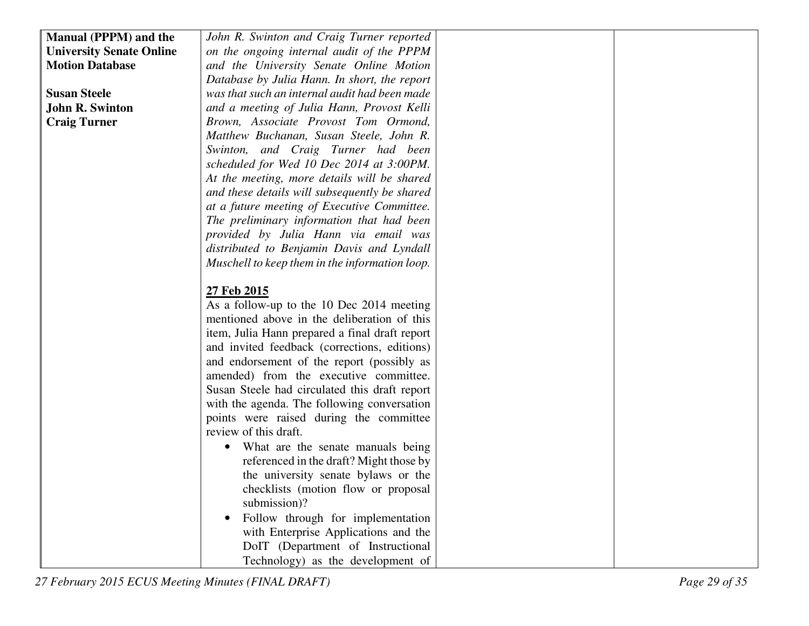| <b>Manual (PPPM) and the</b>    | John R. Swinton and Craig Turner reported      |  |
|---------------------------------|------------------------------------------------|--|
| <b>University Senate Online</b> | on the ongoing internal audit of the PPPM      |  |
| <b>Motion Database</b>          | and the University Senate Online Motion        |  |
|                                 | Database by Julia Hann. In short, the report   |  |
|                                 |                                                |  |
| <b>Susan Steele</b>             | was that such an internal audit had been made  |  |
| <b>John R. Swinton</b>          | and a meeting of Julia Hann, Provost Kelli     |  |
| <b>Craig Turner</b>             | Brown, Associate Provost Tom Ormond,           |  |
|                                 | Matthew Buchanan, Susan Steele, John R.        |  |
|                                 | Swinton, and Craig Turner had been             |  |
|                                 | scheduled for Wed 10 Dec 2014 at 3:00PM.       |  |
|                                 | At the meeting, more details will be shared    |  |
|                                 | and these details will subsequently be shared  |  |
|                                 | at a future meeting of Executive Committee.    |  |
|                                 | The preliminary information that had been      |  |
|                                 | provided by Julia Hann via email was           |  |
|                                 | distributed to Benjamin Davis and Lyndall      |  |
|                                 | Muschell to keep them in the information loop. |  |
|                                 |                                                |  |
|                                 | 27 Feb 2015                                    |  |
|                                 | As a follow-up to the 10 Dec 2014 meeting      |  |
|                                 | mentioned above in the deliberation of this    |  |
|                                 | item, Julia Hann prepared a final draft report |  |
|                                 | and invited feedback (corrections, editions)   |  |
|                                 | and endorsement of the report (possibly as     |  |
|                                 | amended) from the executive committee.         |  |
|                                 | Susan Steele had circulated this draft report  |  |
|                                 | with the agenda. The following conversation    |  |
|                                 | points were raised during the committee        |  |
|                                 | review of this draft.                          |  |
|                                 | What are the senate manuals being              |  |
|                                 | referenced in the draft? Might those by        |  |
|                                 | the university senate bylaws or the            |  |
|                                 | checklists (motion flow or proposal            |  |
|                                 | submission)?                                   |  |
|                                 | Follow through for implementation              |  |
|                                 | with Enterprise Applications and the           |  |
|                                 | DoIT (Department of Instructional              |  |
|                                 | Technology) as the development of              |  |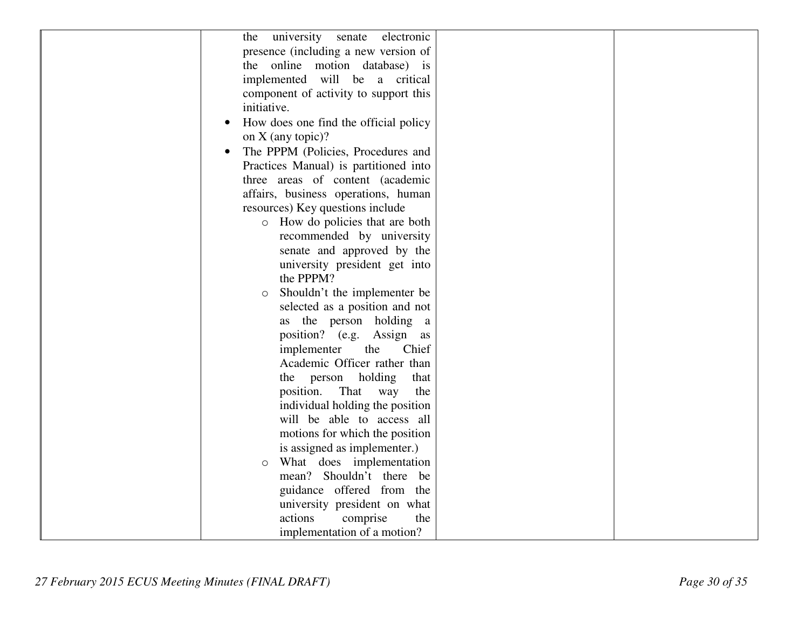| university senate<br>electronic<br>the             |  |
|----------------------------------------------------|--|
| presence (including a new version of               |  |
| the online motion database) is                     |  |
| implemented will be a critical                     |  |
| component of activity to support this              |  |
| initiative.                                        |  |
| How does one find the official policy<br>$\bullet$ |  |
| on $X$ (any topic)?                                |  |
| The PPPM (Policies, Procedures and                 |  |
| Practices Manual) is partitioned into              |  |
| three areas of content (academic                   |  |
| affairs, business operations, human                |  |
| resources) Key questions include                   |  |
| o How do policies that are both                    |  |
| recommended by university                          |  |
| senate and approved by the                         |  |
| university president get into                      |  |
| the PPPM?                                          |  |
| Shouldn't the implementer be<br>$\circ$            |  |
| selected as a position and not                     |  |
| as the person holding a                            |  |
| position? (e.g. Assign as                          |  |
| Chief<br>implementer<br>the                        |  |
| Academic Officer rather than                       |  |
| the person holding<br>that                         |  |
| That<br>position.<br>way<br>the                    |  |
| individual holding the position                    |  |
| will be able to access all                         |  |
| motions for which the position                     |  |
| is assigned as implementer.)                       |  |
| What does implementation<br>$\circ$                |  |
| mean? Shouldn't there be                           |  |
| guidance offered from the                          |  |
| university president on what                       |  |
| actions<br>comprise<br>the                         |  |
| implementation of a motion?                        |  |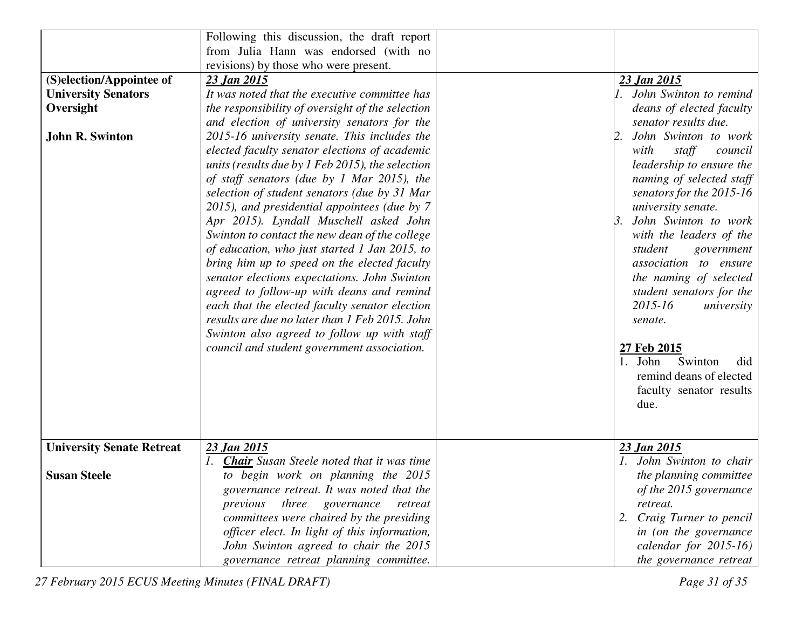|                                  | Following this discussion, the draft report         |                                   |
|----------------------------------|-----------------------------------------------------|-----------------------------------|
|                                  | from Julia Hann was endorsed (with no               |                                   |
|                                  | revisions) by those who were present.               |                                   |
| (S)election/Appointee of         | 23 Jan 2015                                         | 23 Jan 2015                       |
| <b>University Senators</b>       | It was noted that the executive committee has       | 1. John Swinton to remind         |
| Oversight                        | the responsibility of oversight of the selection    | deans of elected faculty          |
|                                  | and election of university senators for the         | senator results due.              |
| <b>John R. Swinton</b>           | 2015-16 university senate. This includes the        | John Swinton to work<br>2.        |
|                                  | elected faculty senator elections of academic       | with<br>staff<br>council          |
|                                  | units (results due by $1$ Feb 2015), the selection  | leadership to ensure the          |
|                                  | of staff senators (due by 1 Mar 2015), the          | naming of selected staff          |
|                                  | selection of student senators (due by 31 Mar        | senators for the 2015-16          |
|                                  | 2015), and presidential appointees (due by 7        | university senate.                |
|                                  | Apr 2015). Lyndall Muschell asked John              | John Swinton to work<br>$\beta$ . |
|                                  | Swinton to contact the new dean of the college      | with the leaders of the           |
|                                  | of education, who just started 1 Jan 2015, to       | student<br>government             |
|                                  | bring him up to speed on the elected faculty        | association to ensure             |
|                                  | senator elections expectations. John Swinton        | the naming of selected            |
|                                  | agreed to follow-up with deans and remind           | student senators for the          |
|                                  | each that the elected faculty senator election      | $2015 - 16$<br>university         |
|                                  | results are due no later than 1 Feb 2015. John      | senate.                           |
|                                  | Swinton also agreed to follow up with staff         |                                   |
|                                  | council and student government association.         | 27 Feb 2015<br>Swinton<br>1. John |
|                                  |                                                     | did<br>remind deans of elected    |
|                                  |                                                     | faculty senator results           |
|                                  |                                                     | due.                              |
|                                  |                                                     |                                   |
|                                  |                                                     |                                   |
| <b>University Senate Retreat</b> | 23 Jan 2015                                         | 23 Jan 2015                       |
|                                  | 1. <b>Chair</b> Susan Steele noted that it was time | 1. John Swinton to chair          |
| <b>Susan Steele</b>              | to begin work on planning the 2015                  | the planning committee            |
|                                  | governance retreat. It was noted that the           | of the 2015 governance            |
|                                  | three<br>previous<br>governance<br>retreat          | retreat.                          |
|                                  | committees were chaired by the presiding            | 2. Craig Turner to pencil         |
|                                  | officer elect. In light of this information,        | in (on the governance             |
|                                  | John Swinton agreed to chair the 2015               | calendar for $2015-16$ )          |
|                                  | governance retreat planning committee.              | the governance retreat            |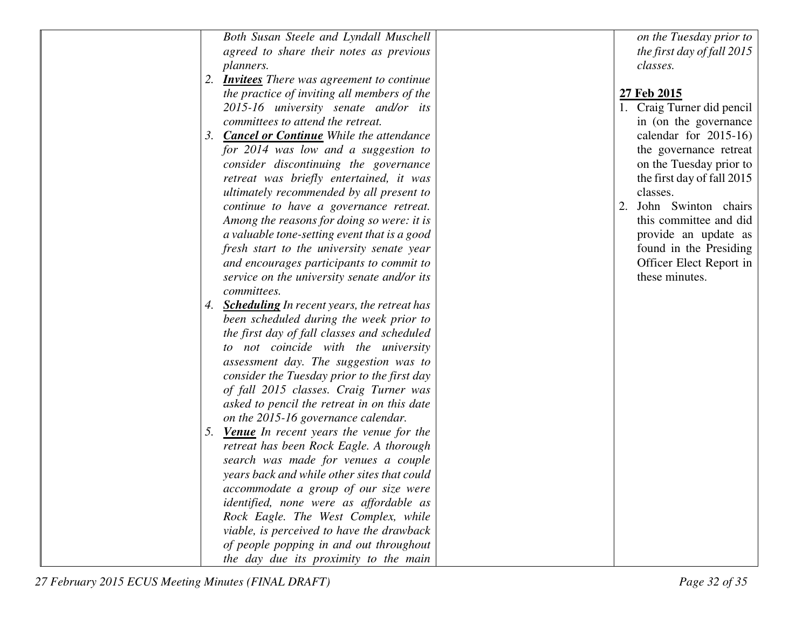| Both Susan Steele and Lyndall Muschell                | on the Tuesday prior to    |
|-------------------------------------------------------|----------------------------|
| agreed to share their notes as previous               | the first day of fall 2015 |
| planners.                                             | classes.                   |
| 2.<br><b>Invitees</b> There was agreement to continue |                            |
| the practice of inviting all members of the           | <u>27 Feb 2015</u>         |
| 2015-16 university senate and/or its                  | 1. Craig Turner did pencil |
| committees to attend the retreat.                     | in (on the governance      |
| <b>Cancel or Continue</b> While the attendance<br>3.  | calendar for $2015-16$ )   |
| for 2014 was low and a suggestion to                  | the governance retreat     |
| consider discontinuing the governance                 | on the Tuesday prior to    |
| retreat was briefly entertained, it was               | the first day of fall 2015 |
| ultimately recommended by all present to              | classes.                   |
| continue to have a governance retreat.                | John Swinton chairs<br>2.  |
| Among the reasons for doing so were: it is            | this committee and did     |
| a valuable tone-setting event that is a good          | provide an update as       |
| fresh start to the university senate year             | found in the Presiding     |
| and encourages participants to commit to              | Officer Elect Report in    |
| service on the university senate and/or its           | these minutes.             |
| committees.                                           |                            |
| <b>Scheduling</b> In recent years, the retreat has    |                            |
| been scheduled during the week prior to               |                            |
| the first day of fall classes and scheduled           |                            |
| to not coincide with the university                   |                            |
| assessment day. The suggestion was to                 |                            |
| consider the Tuesday prior to the first day           |                            |
| of fall 2015 classes. Craig Turner was                |                            |
| asked to pencil the retreat in on this date           |                            |
| on the 2015-16 governance calendar.                   |                            |
| <b>Venue</b> In recent years the venue for the<br>5.  |                            |
| retreat has been Rock Eagle. A thorough               |                            |
| search was made for venues a couple                   |                            |
| years back and while other sites that could           |                            |
| accommodate a group of our size were                  |                            |
| identified, none were as affordable as                |                            |
| Rock Eagle. The West Complex, while                   |                            |
| viable, is perceived to have the drawback             |                            |
| of people popping in and out throughout               |                            |
| the day due its proximity to the main                 |                            |
|                                                       |                            |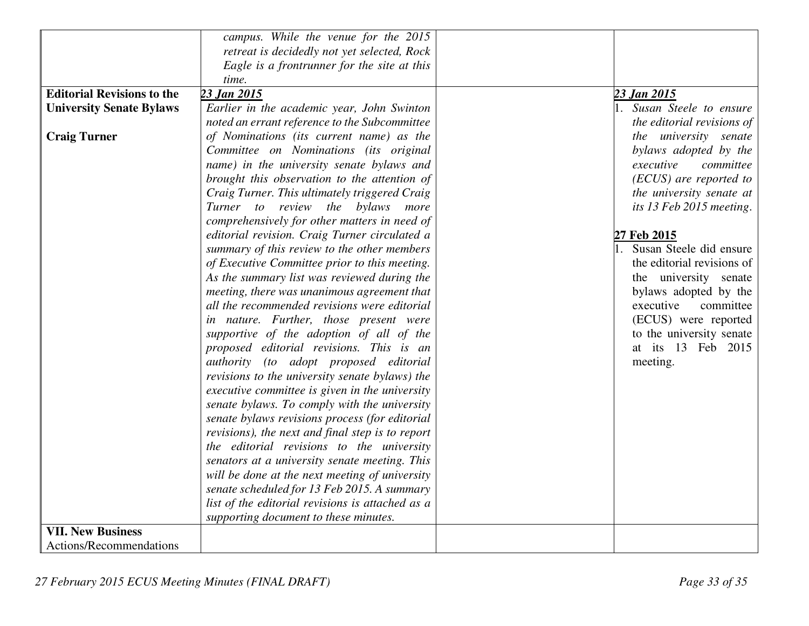|                                   | campus. While the venue for the 2015             |                            |
|-----------------------------------|--------------------------------------------------|----------------------------|
|                                   | retreat is decidedly not yet selected, Rock      |                            |
|                                   | Eagle is a frontrunner for the site at this      |                            |
|                                   | time.                                            |                            |
| <b>Editorial Revisions to the</b> | 23 Jan 2015                                      | 23 Jan 2015                |
| <b>University Senate Bylaws</b>   | Earlier in the academic year, John Swinton       | 1. Susan Steele to ensure  |
|                                   | noted an errant reference to the Subcommittee    | the editorial revisions of |
| <b>Craig Turner</b>               | of Nominations (its current name) as the         | the university senate      |
|                                   | Committee on Nominations (its original           | bylaws adopted by the      |
|                                   | name) in the university senate bylaws and        | executive<br>committee     |
|                                   | brought this observation to the attention of     | (ECUS) are reported to     |
|                                   | Craig Turner. This ultimately triggered Craig    | the university senate at   |
|                                   | Turner to review the bylaws more                 | its 13 Feb 2015 meeting.   |
|                                   | comprehensively for other matters in need of     |                            |
|                                   | editorial revision. Craig Turner circulated a    | 27 Feb 2015                |
|                                   | summary of this review to the other members      | Susan Steele did ensure    |
|                                   | of Executive Committee prior to this meeting.    | the editorial revisions of |
|                                   | As the summary list was reviewed during the      | the university senate      |
|                                   | meeting, there was unanimous agreement that      | bylaws adopted by the      |
|                                   | all the recommended revisions were editorial     | executive<br>committee     |
|                                   | in nature. Further, those present were           | (ECUS) were reported       |
|                                   | supportive of the adoption of all of the         | to the university senate   |
|                                   | proposed editorial revisions. This is an         | at its 13 Feb 2015         |
|                                   | authority (to adopt proposed editorial           | meeting.                   |
|                                   | revisions to the university senate bylaws) the   |                            |
|                                   | executive committee is given in the university   |                            |
|                                   | senate bylaws. To comply with the university     |                            |
|                                   | senate bylaws revisions process (for editorial   |                            |
|                                   | revisions), the next and final step is to report |                            |
|                                   | the editorial revisions to the university        |                            |
|                                   | senators at a university senate meeting. This    |                            |
|                                   | will be done at the next meeting of university   |                            |
|                                   | senate scheduled for 13 Feb 2015. A summary      |                            |
|                                   | list of the editorial revisions is attached as a |                            |
|                                   | supporting document to these minutes.            |                            |
| <b>VII. New Business</b>          |                                                  |                            |
| Actions/Recommendations           |                                                  |                            |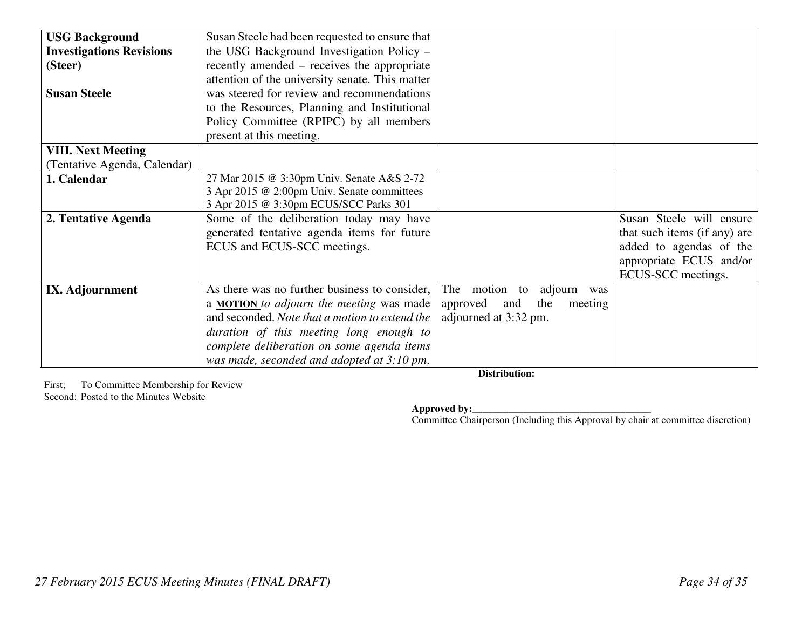| <b>USG Background</b>           | Susan Steele had been requested to ensure that  |                                   |                              |
|---------------------------------|-------------------------------------------------|-----------------------------------|------------------------------|
| <b>Investigations Revisions</b> | the USG Background Investigation Policy –       |                                   |                              |
| (Steer)                         | recently amended – receives the appropriate     |                                   |                              |
|                                 | attention of the university senate. This matter |                                   |                              |
| <b>Susan Steele</b>             | was steered for review and recommendations      |                                   |                              |
|                                 | to the Resources, Planning and Institutional    |                                   |                              |
|                                 | Policy Committee (RPIPC) by all members         |                                   |                              |
|                                 | present at this meeting.                        |                                   |                              |
| <b>VIII. Next Meeting</b>       |                                                 |                                   |                              |
| (Tentative Agenda, Calendar)    |                                                 |                                   |                              |
| 1. Calendar                     | 27 Mar 2015 @ 3:30pm Univ. Senate A&S 2-72      |                                   |                              |
|                                 | 3 Apr 2015 @ 2:00pm Univ. Senate committees     |                                   |                              |
|                                 | 3 Apr 2015 @ 3:30pm ECUS/SCC Parks 301          |                                   |                              |
| 2. Tentative Agenda             | Some of the deliberation today may have         |                                   | Susan Steele will ensure     |
|                                 | generated tentative agenda items for future     |                                   | that such items (if any) are |
|                                 | ECUS and ECUS-SCC meetings.                     |                                   | added to agendas of the      |
|                                 |                                                 |                                   | appropriate ECUS and/or      |
|                                 |                                                 |                                   | ECUS-SCC meetings.           |
| IX. Adjournment                 | As there was no further business to consider,   | The motion to adjourn was         |                              |
|                                 | a <b>MOTION</b> to adjourn the meeting was made | the<br>approved<br>and<br>meeting |                              |
|                                 | and seconded. Note that a motion to extend the  | adjourned at 3:32 pm.             |                              |
|                                 | duration of this meeting long enough to         |                                   |                              |
|                                 | complete deliberation on some agenda items      |                                   |                              |
|                                 |                                                 |                                   |                              |
|                                 | was made, seconded and adopted at 3:10 pm.      |                                   |                              |

First; To Committee Membership for Review Second: Posted to the Minutes Website

**Distribution:** 

**Approved by:**<br> **Committee Chairperson (Including this Approval by chair at committee discretion)**